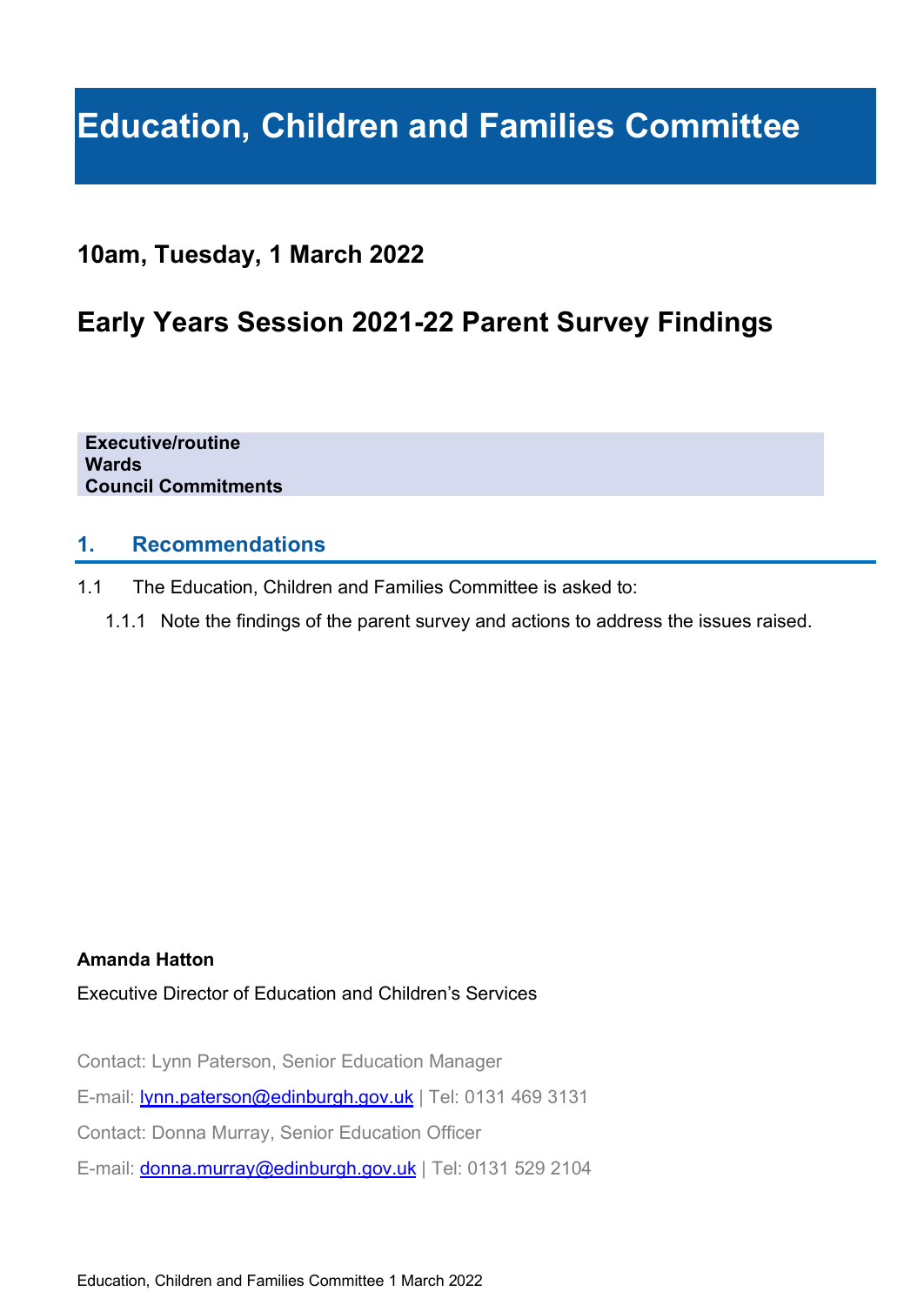# **Education, Children and Families Committee**

## **10am, Tuesday, 1 March 2022**

# **Early Years Session 2021-22 Parent Survey Findings**

**Executive/routine Wards Council Commitments**

#### **1. Recommendations**

- 1.1 The Education, Children and Families Committee is asked to:
	- 1.1.1 Note the findings of the parent survey and actions to address the issues raised.

#### **Amanda Hatton**

Executive Director of Education and Children's Services

Contact: Lynn Paterson, Senior Education Manager

E-mail: **Ivnn.paterson@edinburgh.gov.uk** | Tel: 0131 469 3131

Contact: Donna Murray, Senior Education Officer

E-mail: [donna.murray@edinburgh.gov.uk](mailto:donna.murray@edinburgh.gov.uk) | Tel: 0131 529 2104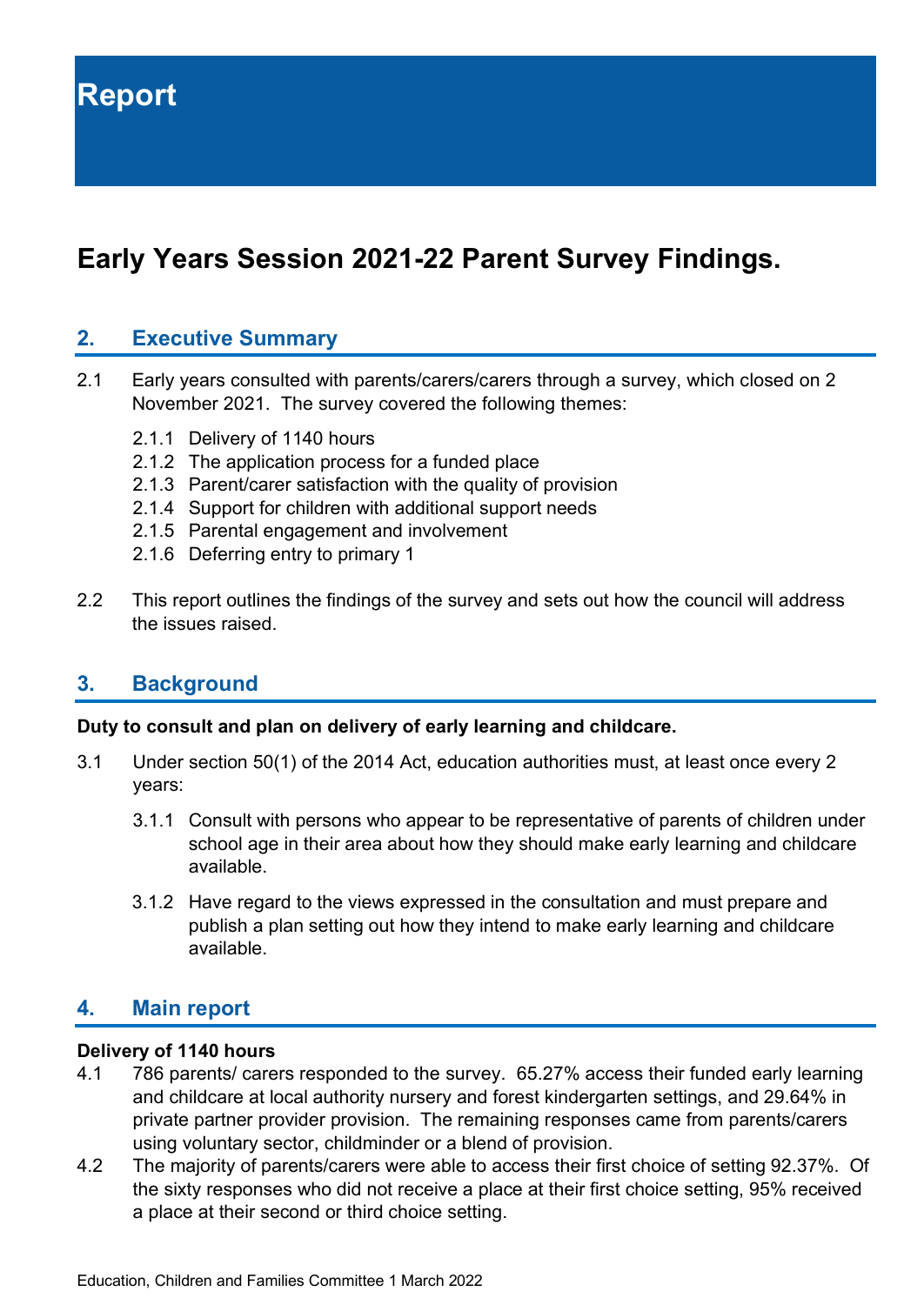# **Early Years Session 2021-22 Parent Survey Findings.**

#### **2. Executive Summary**

- 2.1 Early years consulted with parents/carers/carers through a survey, which closed on 2 November 2021. The survey covered the following themes:
	- 2.1.1 Delivery of 1140 hours
	- 2.1.2 The application process for a funded place
	- 2.1.3 Parent/carer satisfaction with the quality of provision
	- 2.1.4 Support for children with additional support needs
	- 2.1.5 Parental engagement and involvement
	- 2.1.6 Deferring entry to primary 1
- 2.2 This report outlines the findings of the survey and sets out how the council will address the issues raised.

#### **3. Background**

#### **Duty to consult and plan on delivery of early learning and childcare.**

- 3.1 Under section 50(1) of the 2014 Act, education authorities must, at least once every 2 years:
	- 3.1.1 Consult with persons who appear to be representative of parents of children under school age in their area about how they should make early learning and childcare available.
	- 3.1.2 Have regard to the views expressed in the consultation and must prepare and publish a plan setting out how they intend to make early learning and childcare available.

#### **4. Main report**

#### **Delivery of 1140 hours**

- 4.1 786 parents/ carers responded to the survey. 65.27% access their funded early learning and childcare at local authority nursery and forest kindergarten settings, and 29.64% in private partner provider provision. The remaining responses came from parents/carers using voluntary sector, childminder or a blend of provision.
- 4.2 The majority of parents/carers were able to access their first choice of setting 92.37%. Of the sixty responses who did not receive a place at their first choice setting, 95% received a place at their second or third choice setting.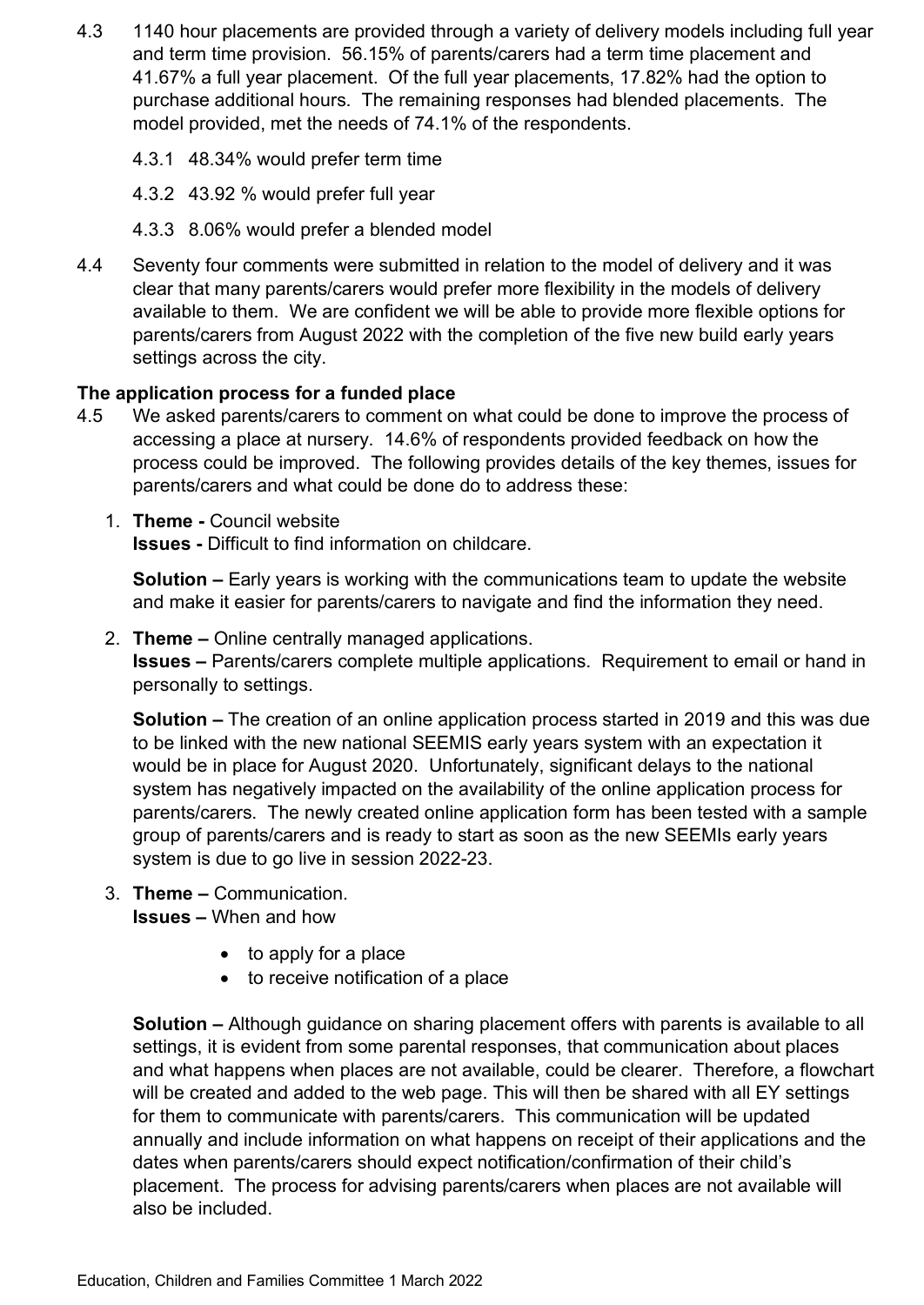- 4.3 1140 hour placements are provided through a variety of delivery models including full year and term time provision. 56.15% of parents/carers had a term time placement and 41.67% a full year placement. Of the full year placements, 17.82% had the option to purchase additional hours. The remaining responses had blended placements. The model provided, met the needs of 74.1% of the respondents.
	- 4.3.1 48.34% would prefer term time
	- 4.3.2 43.92 % would prefer full year
	- 4.3.3 8.06% would prefer a blended model
- 4.4 Seventy four comments were submitted in relation to the model of delivery and it was clear that many parents/carers would prefer more flexibility in the models of delivery available to them. We are confident we will be able to provide more flexible options for parents/carers from August 2022 with the completion of the five new build early years settings across the city.

#### **The application process for a funded place**

- 4.5 We asked parents/carers to comment on what could be done to improve the process of accessing a place at nursery. 14.6% of respondents provided feedback on how the process could be improved. The following provides details of the key themes, issues for parents/carers and what could be done do to address these:
	- 1. **Theme -** Council website **Issues -** Difficult to find information on childcare.

**Solution –** Early years is working with the communications team to update the website and make it easier for parents/carers to navigate and find the information they need.

#### 2. **Theme –** Online centrally managed applications.

**Issues –** Parents/carers complete multiple applications. Requirement to email or hand in personally to settings.

**Solution –** The creation of an online application process started in 2019 and this was due to be linked with the new national SEEMIS early years system with an expectation it would be in place for August 2020. Unfortunately, significant delays to the national system has negatively impacted on the availability of the online application process for parents/carers. The newly created online application form has been tested with a sample group of parents/carers and is ready to start as soon as the new SEEMIs early years system is due to go live in session 2022-23.

#### 3. **Theme –** Communication.

**Issues –** When and how

- to apply for a place
- to receive notification of a place

**Solution –** Although guidance on sharing placement offers with parents is available to all settings, it is evident from some parental responses, that communication about places and what happens when places are not available, could be clearer. Therefore, a flowchart will be created and added to the web page. This will then be shared with all EY settings for them to communicate with parents/carers. This communication will be updated annually and include information on what happens on receipt of their applications and the dates when parents/carers should expect notification/confirmation of their child's placement. The process for advising parents/carers when places are not available will also be included.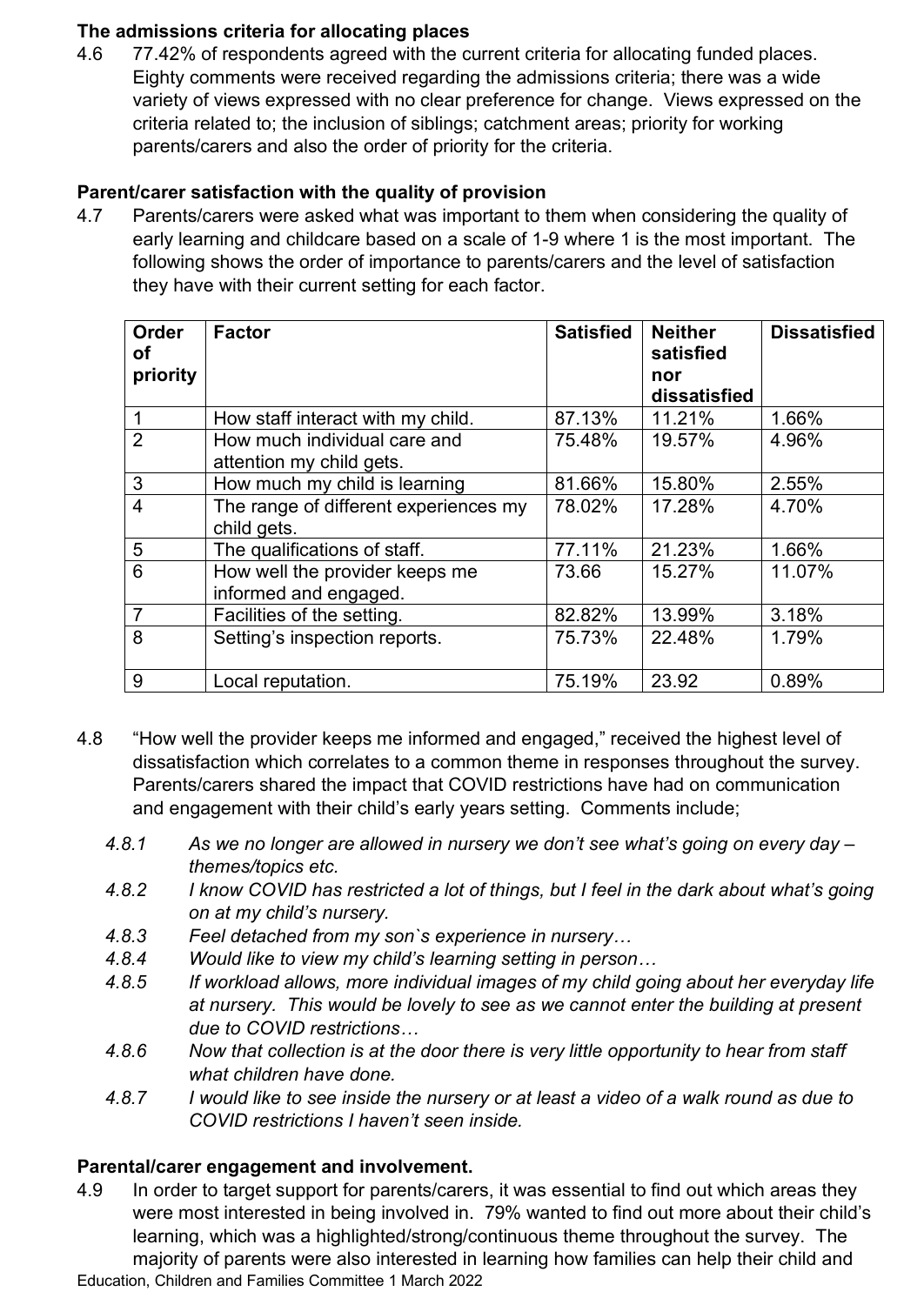#### **The admissions criteria for allocating places**

4.6 77.42% of respondents agreed with the current criteria for allocating funded places. Eighty comments were received regarding the admissions criteria; there was a wide variety of views expressed with no clear preference for change. Views expressed on the criteria related to; the inclusion of siblings; catchment areas; priority for working parents/carers and also the order of priority for the criteria.

#### **Parent/carer satisfaction with the quality of provision**

4.7 Parents/carers were asked what was important to them when considering the quality of early learning and childcare based on a scale of 1-9 where 1 is the most important. The following shows the order of importance to parents/carers and the level of satisfaction they have with their current setting for each factor.

| <b>Order</b><br>οf<br>priority | <b>Factor</b>                                            | <b>Satisfied</b> | <b>Neither</b><br>satisfied<br>nor | <b>Dissatisfied</b> |
|--------------------------------|----------------------------------------------------------|------------------|------------------------------------|---------------------|
|                                |                                                          |                  | dissatisfied                       |                     |
|                                | How staff interact with my child.                        | 87.13%           | 11.21%                             | 1.66%               |
| $\overline{2}$                 | How much individual care and<br>attention my child gets. | 75.48%           | 19.57%                             | 4.96%               |
| 3                              | How much my child is learning                            | 81.66%           | 15.80%                             | 2.55%               |
| $\overline{4}$                 | The range of different experiences my<br>child gets.     | 78.02%           | 17.28%                             | 4.70%               |
| 5                              | The qualifications of staff.                             | 77.11%           | 21.23%                             | 1.66%               |
| 6                              | How well the provider keeps me<br>informed and engaged.  | 73.66            | 15.27%                             | 11.07%              |
| $\overline{7}$                 | Facilities of the setting.                               | 82.82%           | 13.99%                             | 3.18%               |
| 8                              | Setting's inspection reports.                            | 75.73%           | 22.48%                             | 1.79%               |
| 9                              | Local reputation.                                        | 75.19%           | 23.92                              | 0.89%               |

- 4.8 "How well the provider keeps me informed and engaged," received the highest level of dissatisfaction which correlates to a common theme in responses throughout the survey. Parents/carers shared the impact that COVID restrictions have had on communication and engagement with their child's early years setting. Comments include;
	- *4.8.1 As we no longer are allowed in nursery we don't see what's going on every day – themes/topics etc.*
	- *4.8.2 I know COVID has restricted a lot of things, but I feel in the dark about what's going on at my child's nursery.*
	- *4.8.3 Feel detached from my son`s experience in nursery…*
	- *4.8.4 Would like to view my child's learning setting in person…*
	- *4.8.5 If workload allows, more individual images of my child going about her everyday life at nursery. This would be lovely to see as we cannot enter the building at present due to COVID restrictions…*
	- *4.8.6 Now that collection is at the door there is very little opportunity to hear from staff what children have done.*
	- *4.8.7 I would like to see inside the nursery or at least a video of a walk round as due to COVID restrictions I haven't seen inside.*

#### **Parental/carer engagement and involvement.**

Education, Children and Families Committee 1 March 2022 4.9 In order to target support for parents/carers, it was essential to find out which areas they were most interested in being involved in. 79% wanted to find out more about their child's learning, which was a highlighted/strong/continuous theme throughout the survey. The majority of parents were also interested in learning how families can help their child and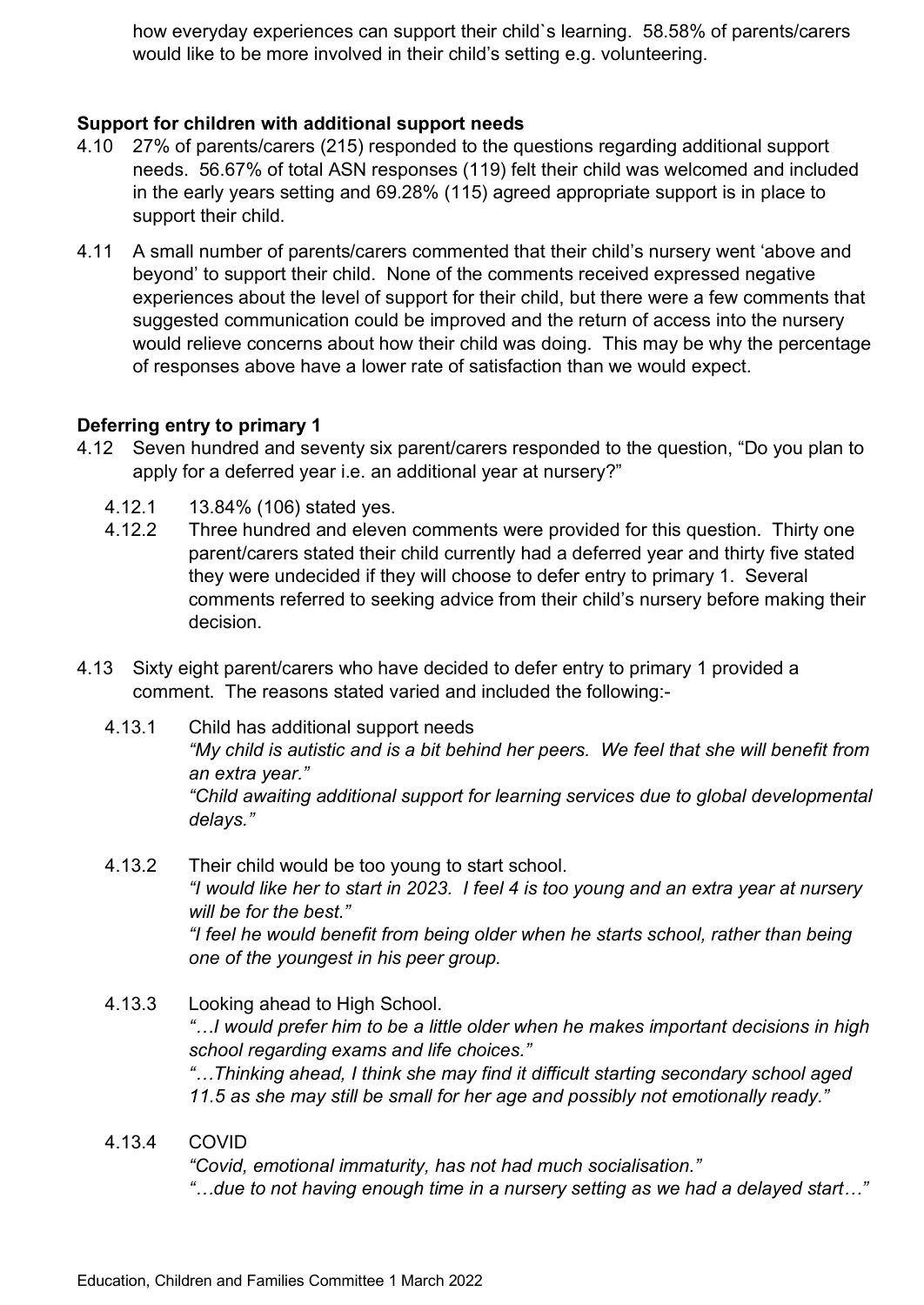how everyday experiences can support their child`s learning. 58.58% of parents/carers would like to be more involved in their child's setting e.g. volunteering.

#### **Support for children with additional support needs**

- 4.10 27% of parents/carers (215) responded to the questions regarding additional support needs. 56.67% of total ASN responses (119) felt their child was welcomed and included in the early years setting and 69.28% (115) agreed appropriate support is in place to support their child.
- 4.11 A small number of parents/carers commented that their child's nursery went 'above and beyond' to support their child. None of the comments received expressed negative experiences about the level of support for their child, but there were a few comments that suggested communication could be improved and the return of access into the nursery would relieve concerns about how their child was doing. This may be why the percentage of responses above have a lower rate of satisfaction than we would expect.

#### **Deferring entry to primary 1**

- 4.12 Seven hundred and seventy six parent/carers responded to the question, "Do you plan to apply for a deferred year i.e. an additional year at nursery?"
	- 4.12.1 13.84% (106) stated yes.
	- 4.12.2 Three hundred and eleven comments were provided for this question. Thirty one parent/carers stated their child currently had a deferred year and thirty five stated they were undecided if they will choose to defer entry to primary 1. Several comments referred to seeking advice from their child's nursery before making their decision.
- 4.13 Sixty eight parent/carers who have decided to defer entry to primary 1 provided a comment. The reasons stated varied and included the following:-
	- 4.13.1 Child has additional support needs *"My child is autistic and is a bit behind her peers. We feel that she will benefit from an extra year." "Child awaiting additional support for learning services due to global developmental delays."*
	- 4.13.2 Their child would be too young to start school. *"I would like her to start in 2023. I feel 4 is too young and an extra year at nursery will be for the best." "I feel he would benefit from being older when he starts school, rather than being one of the youngest in his peer group.*
	- 4.13.3 Looking ahead to High School. *"…I would prefer him to be a little older when he makes important decisions in high school regarding exams and life choices." "…Thinking ahead, I think she may find it difficult starting secondary school aged 11.5 as she may still be small for her age and possibly not emotionally ready."*
	- 4.13.4 COVID

*"Covid, emotional immaturity, has not had much socialisation." "…due to not having enough time in a nursery setting as we had a delayed start…"*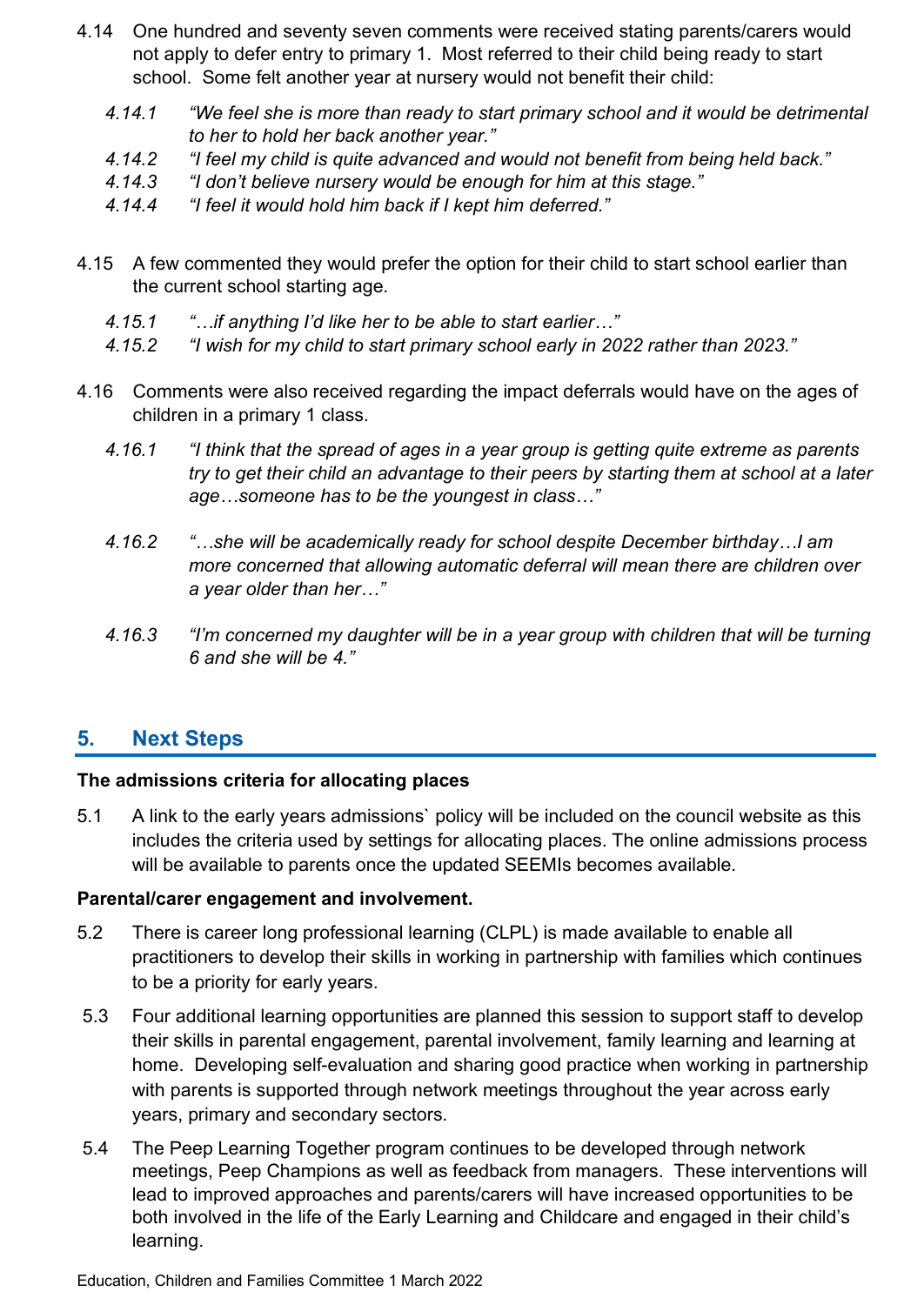- 4.14 One hundred and seventy seven comments were received stating parents/carers would not apply to defer entry to primary 1. Most referred to their child being ready to start school. Some felt another year at nursery would not benefit their child:
	- *4.14.1 "We feel she is more than ready to start primary school and it would be detrimental to her to hold her back another year."*
	- *4.14.2 "I feel my child is quite advanced and would not benefit from being held back."*
	- *4.14.3 "I don't believe nursery would be enough for him at this stage."*
	- *4.14.4 "I feel it would hold him back if I kept him deferred."*
- 4.15 A few commented they would prefer the option for their child to start school earlier than the current school starting age.
	- *4.15.1 "…if anything I'd like her to be able to start earlier…"*
	- *4.15.2 "I wish for my child to start primary school early in 2022 rather than 2023."*
- 4.16 Comments were also received regarding the impact deferrals would have on the ages of children in a primary 1 class.
	- *4.16.1 "I think that the spread of ages in a year group is getting quite extreme as parents try to get their child an advantage to their peers by starting them at school at a later age…someone has to be the youngest in class…"*
	- *4.16.2 "…she will be academically ready for school despite December birthday…I am more concerned that allowing automatic deferral will mean there are children over a year older than her…"*
	- *4.16.3 "I'm concerned my daughter will be in a year group with children that will be turning 6 and she will be 4."*

#### **5. Next Steps**

#### **The admissions criteria for allocating places**

5.1 A link to the early years admissions` policy will be included on the council website as this includes the criteria used by settings for allocating places. The online admissions process will be available to parents once the updated SEEMIs becomes available.

#### **Parental/carer engagement and involvement.**

- 5.2 There is career long professional learning (CLPL) is made available to enable all practitioners to develop their skills in working in partnership with families which continues to be a priority for early years.
- 5.3 Four additional learning opportunities are planned this session to support staff to develop their skills in parental engagement, parental involvement, family learning and learning at home. Developing self-evaluation and sharing good practice when working in partnership with parents is supported through network meetings throughout the year across early years, primary and secondary sectors.
- 5.4 The Peep Learning Together program continues to be developed through network meetings, Peep Champions as well as feedback from managers. These interventions will lead to improved approaches and parents/carers will have increased opportunities to be both involved in the life of the Early Learning and Childcare and engaged in their child's learning.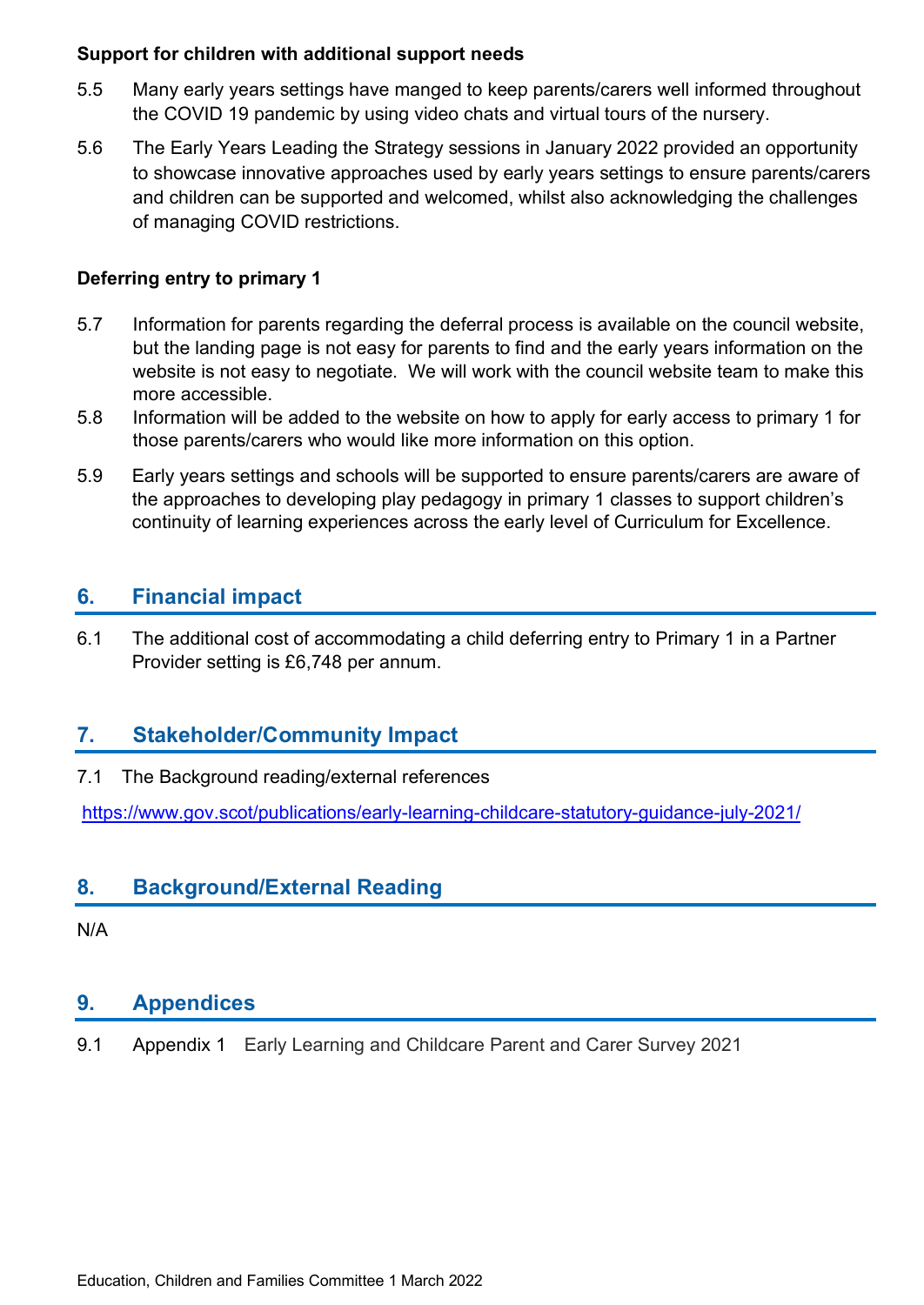#### **Support for children with additional support needs**

- 5.5 Many early years settings have manged to keep parents/carers well informed throughout the COVID 19 pandemic by using video chats and virtual tours of the nursery.
- 5.6 The Early Years Leading the Strategy sessions in January 2022 provided an opportunity to showcase innovative approaches used by early years settings to ensure parents/carers and children can be supported and welcomed, whilst also acknowledging the challenges of managing COVID restrictions.

#### **Deferring entry to primary 1**

- 5.7 Information for parents regarding the deferral process is available on the council website, but the landing page is not easy for parents to find and the early years information on the website is not easy to negotiate. We will work with the council website team to make this more accessible.
- 5.8 Information will be added to the website on how to apply for early access to primary 1 for those parents/carers who would like more information on this option.
- 5.9 Early years settings and schools will be supported to ensure parents/carers are aware of the approaches to developing play pedagogy in primary 1 classes to support children's continuity of learning experiences across the early level of Curriculum for Excellence.

### **6. Financial impact**

6.1 The additional cost of accommodating a child deferring entry to Primary 1 in a Partner Provider setting is £6,748 per annum.

#### **7. Stakeholder/Community Impact**

#### 7.1 The Background reading/external references

<https://www.gov.scot/publications/early-learning-childcare-statutory-guidance-july-2021/>

#### **8. Background/External Reading**

N/A

#### **9. Appendices**

9.1 Appendix 1 Early Learning and Childcare Parent and Carer Survey 2021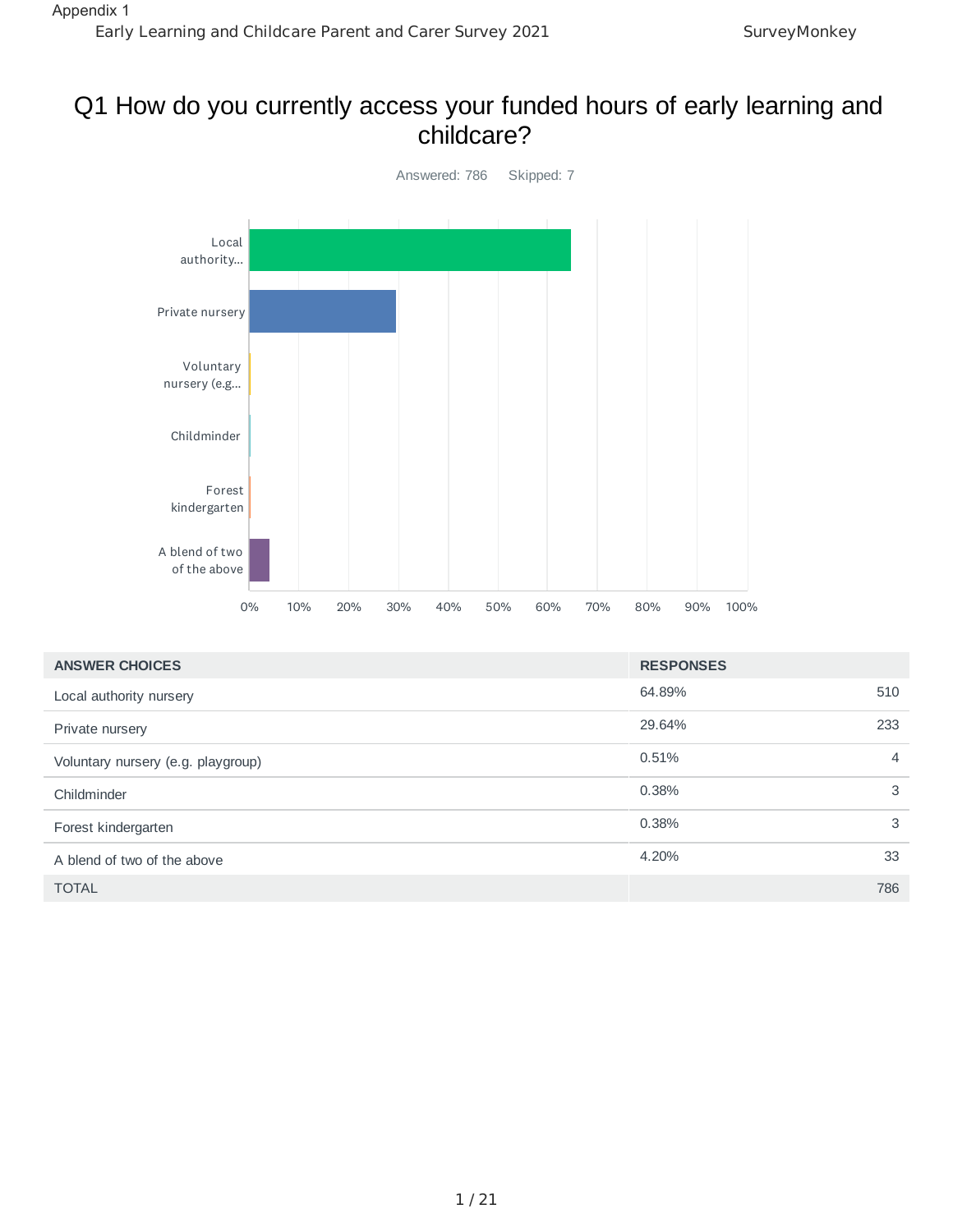## Q1 How do you currently access your funded hours of early learning and childcare?



| <b>ANSWER CHOICES</b>              | <b>RESPONSES</b> |                |
|------------------------------------|------------------|----------------|
| Local authority nursery            | 64.89%           | 510            |
| Private nursery                    | 29.64%           | 233            |
| Voluntary nursery (e.g. playgroup) | 0.51%            | $\overline{4}$ |
| Childminder                        | 0.38%            | 3              |
| Forest kindergarten                | 0.38%            | 3              |
| A blend of two of the above        | 4.20%            | 33             |
| <b>TOTAL</b>                       |                  | 786            |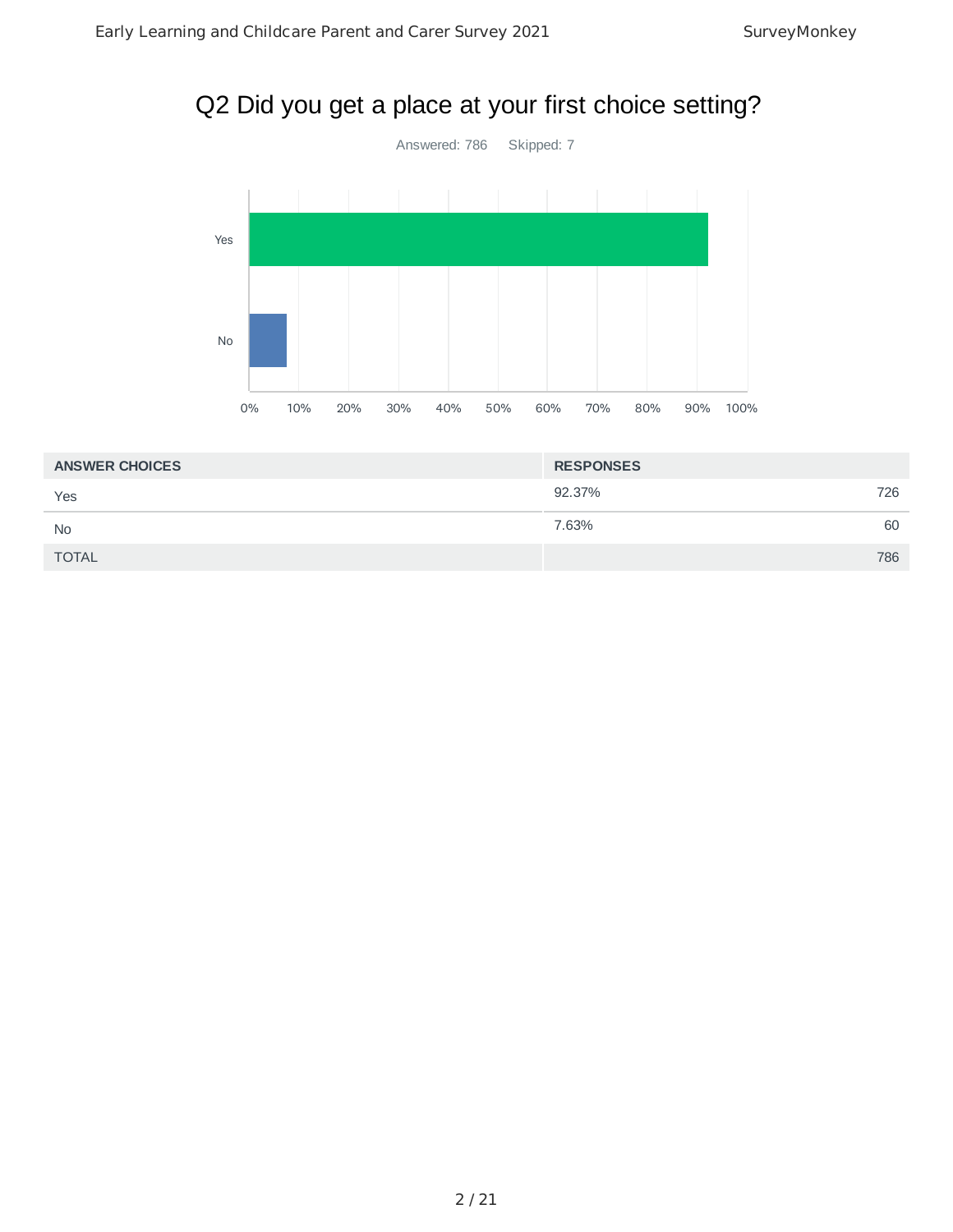# Q2 Did you get a place at your first choice setting?



| <b>ANSWER CHOICES</b> | <b>RESPONSES</b> |     |
|-----------------------|------------------|-----|
| Yes                   | 92.37%           | 726 |
| <b>No</b>             | 7.63%            | 60  |
| <b>TOTAL</b>          |                  | 786 |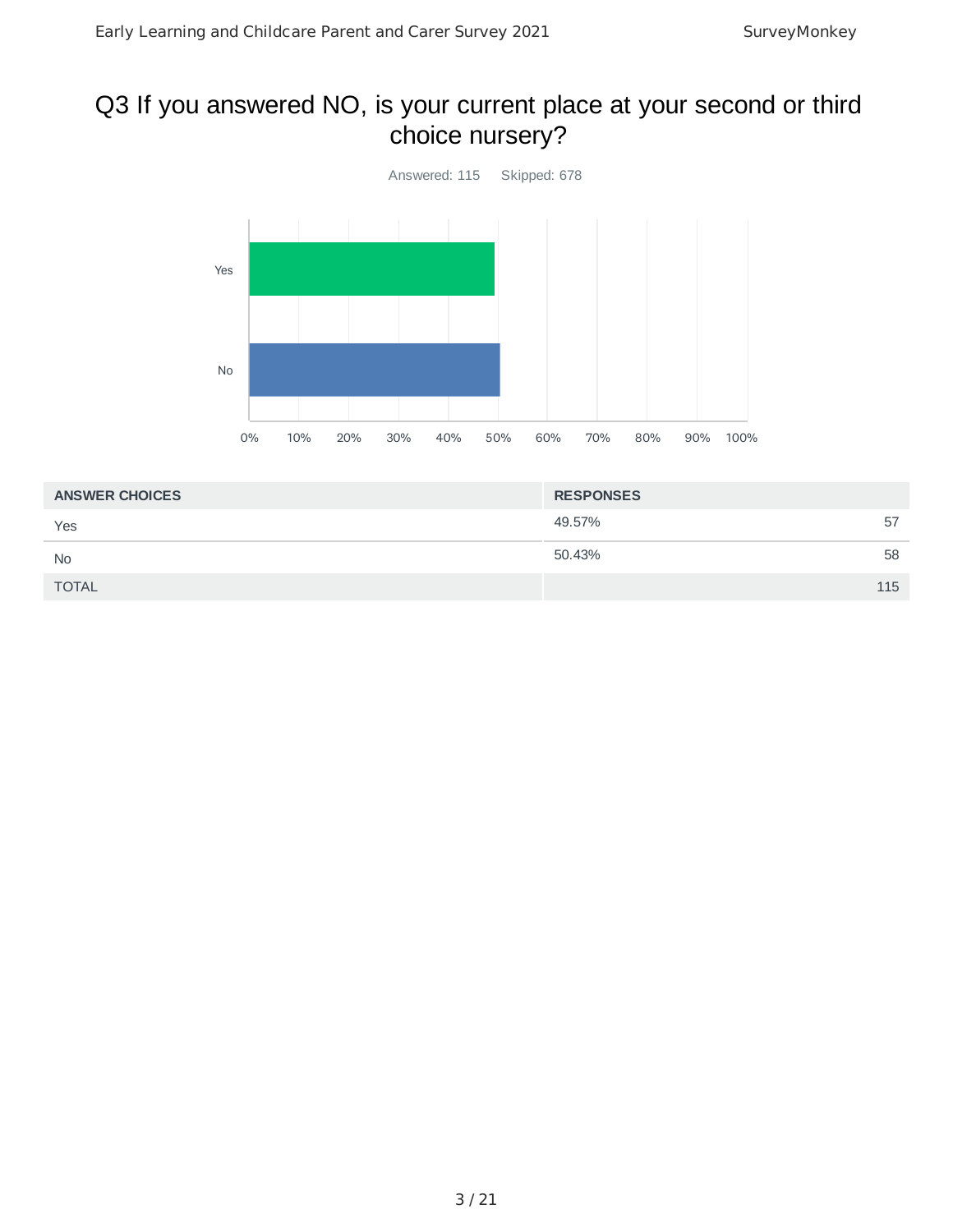# Q3 If you answered NO, is your current place at your second or third choice nursery?



| <b>ANSWER CHOICES</b> | <b>RESPONSES</b> |     |
|-----------------------|------------------|-----|
| Yes                   | 49.57%           | 57  |
| <b>No</b>             | 50.43%           | 58  |
| <b>TOTAL</b>          |                  | 115 |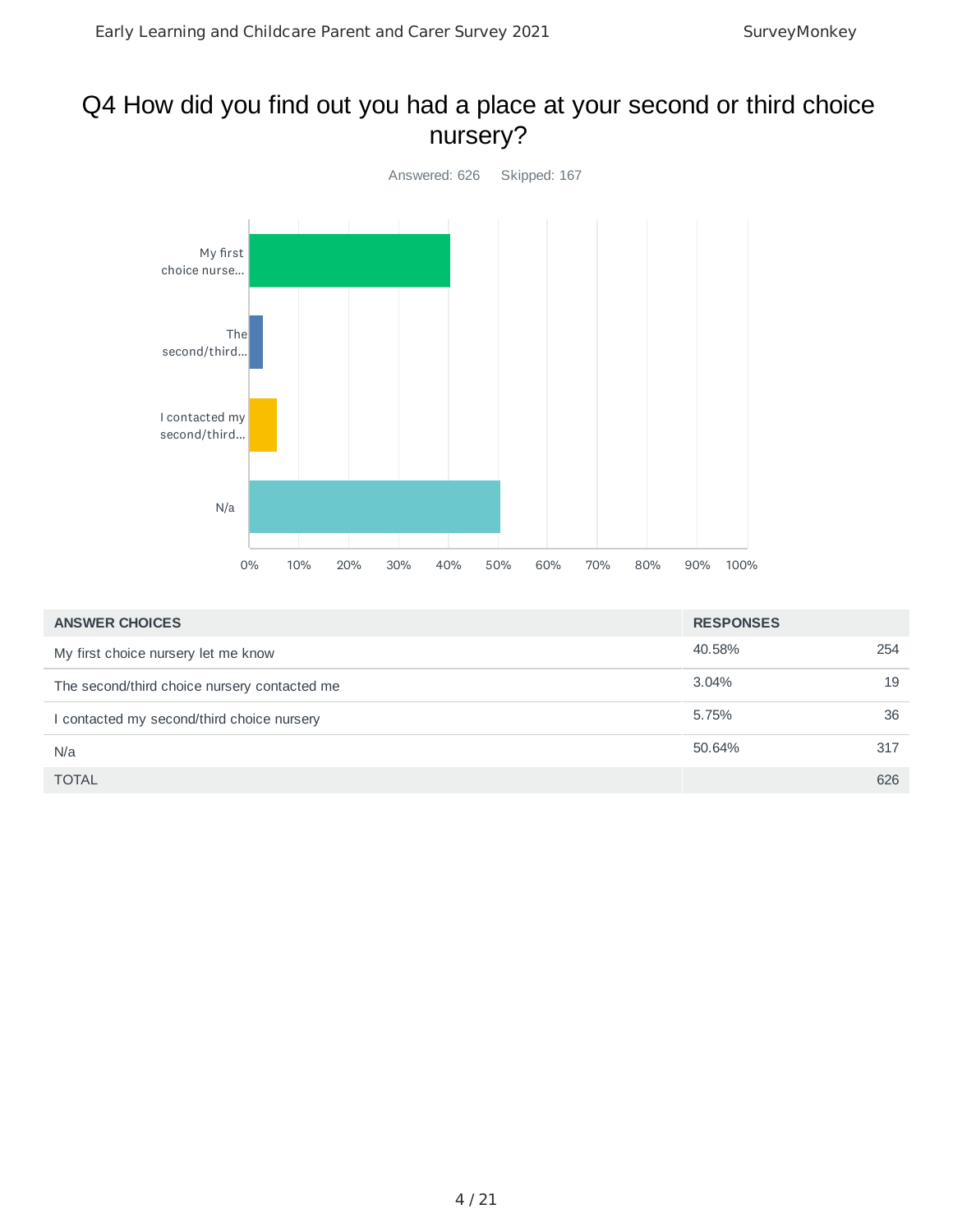## Q4 How did you find out you had a place at your second or third choice nursery?



| <b>ANSWER CHOICES</b>                        | <b>RESPONSES</b> |     |
|----------------------------------------------|------------------|-----|
| My first choice nursery let me know          | 40.58%           | 254 |
| The second/third choice nursery contacted me | $3.04\%$         | 19  |
| I contacted my second/third choice nursery   | 5.75%            | 36  |
| N/a                                          | 50.64%           | 317 |
| <b>TOTAL</b>                                 |                  | 626 |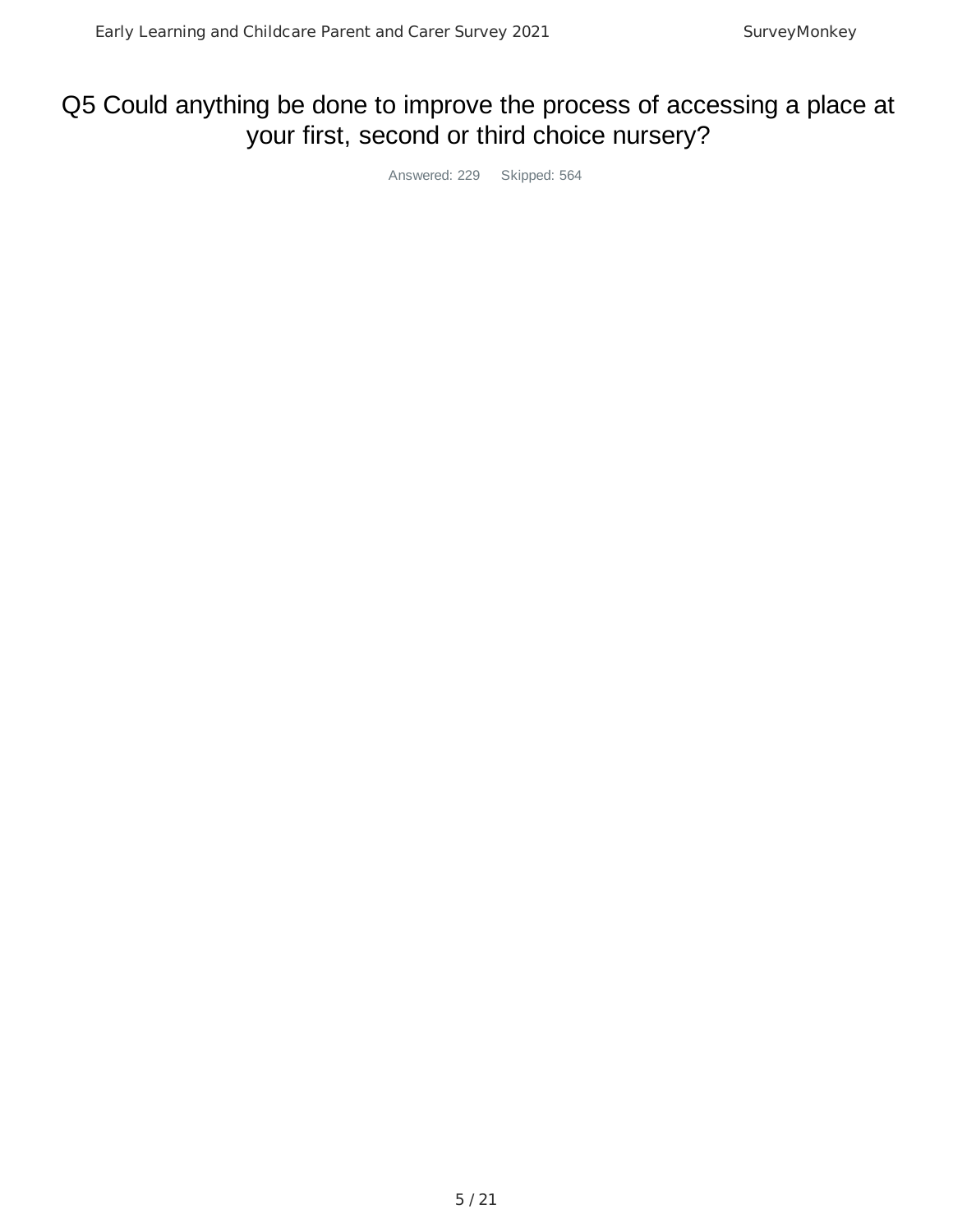# Q5 Could anything be done to improve the process of accessing a place at your first, second or third choice nursery?

Answered: 229 Skipped: 564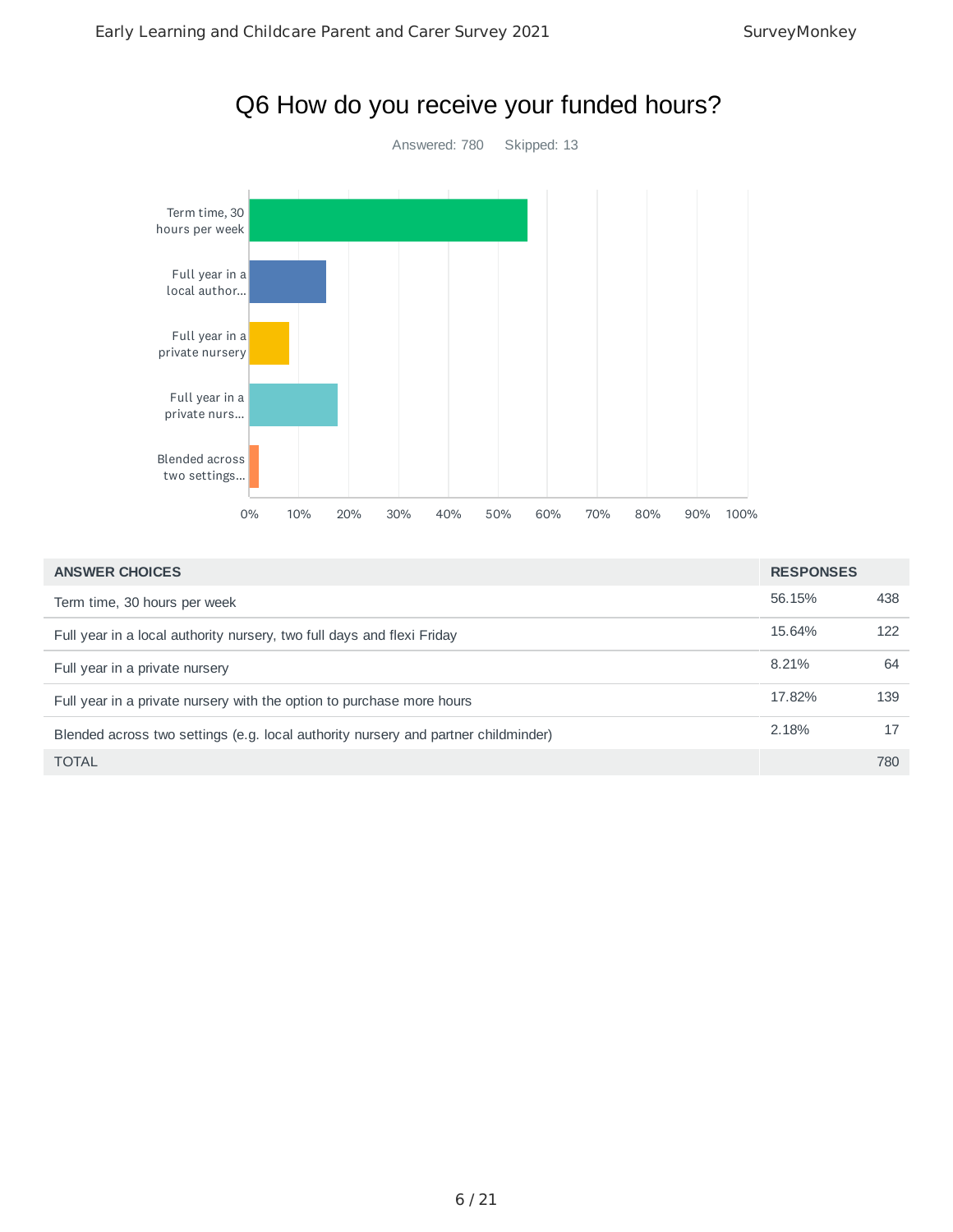

| <b>ANSWER CHOICES</b>                                                              | <b>RESPONSES</b> |     |
|------------------------------------------------------------------------------------|------------------|-----|
| Term time, 30 hours per week                                                       | 56.15%           | 438 |
| Full year in a local authority nursery, two full days and flexi Friday             | 15.64%           | 122 |
| Full year in a private nursery                                                     | 8.21%            | 64  |
| Full year in a private nursery with the option to purchase more hours              | 17.82%           | 139 |
| Blended across two settings (e.g. local authority nursery and partner childminder) | 2.18%            | 17  |
| <b>TOTAL</b>                                                                       |                  | 780 |

### 6 / 21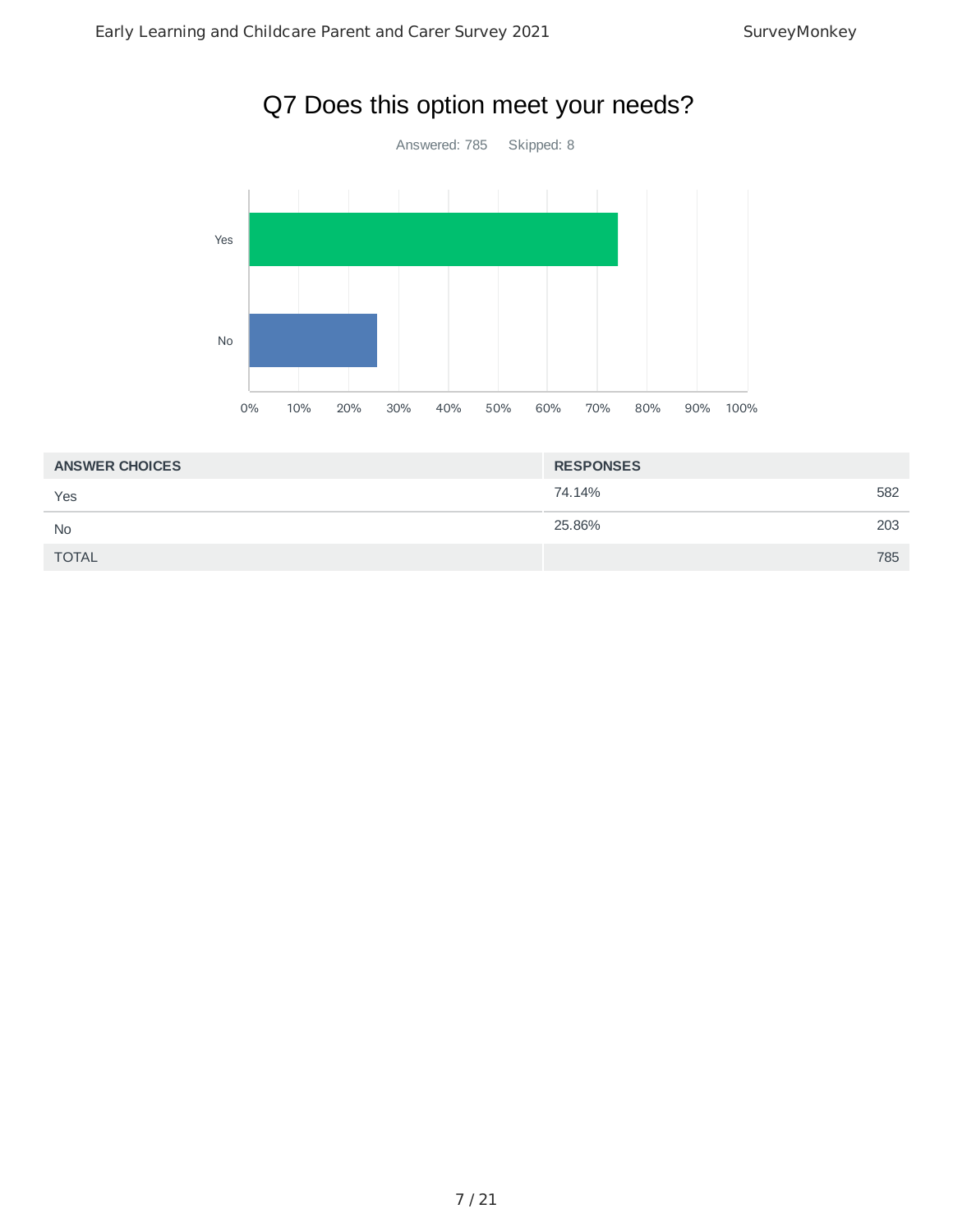

| <b>ANSWER CHOICES</b> | <b>RESPONSES</b> |     |
|-----------------------|------------------|-----|
| Yes                   | 74.14%           | 582 |
| <b>No</b>             | 25.86%           | 203 |
| <b>TOTAL</b>          |                  | 785 |
|                       |                  |     |

# Q7 Does this option meet your needs?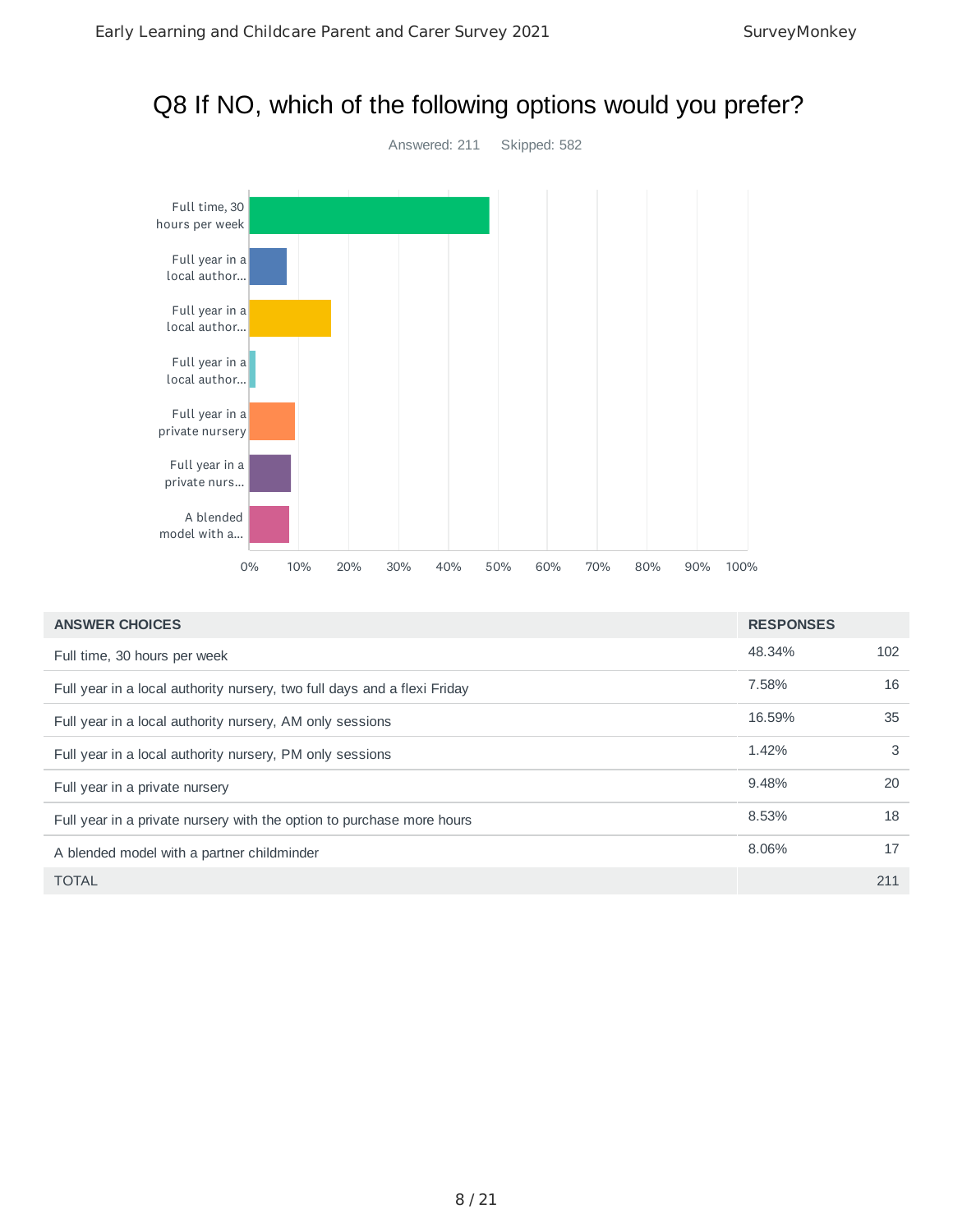## Q8 If NO, which of the following options would you prefer?



| <b>ANSWER CHOICES</b>                                                    | <b>RESPONSES</b> |     |
|--------------------------------------------------------------------------|------------------|-----|
| Full time, 30 hours per week                                             | 48.34%           | 102 |
| Full year in a local authority nursery, two full days and a flexi Friday | 7.58%            | 16  |
| Full year in a local authority nursery, AM only sessions                 | 16.59%           | 35  |
| Full year in a local authority nursery, PM only sessions                 | 1.42%            | 3   |
| Full year in a private nursery                                           | 9.48%            | 20  |
| Full year in a private nursery with the option to purchase more hours    | 8.53%            | 18  |
| A blended model with a partner childminder                               | 8.06%            | 17  |
| <b>TOTAL</b>                                                             |                  | 211 |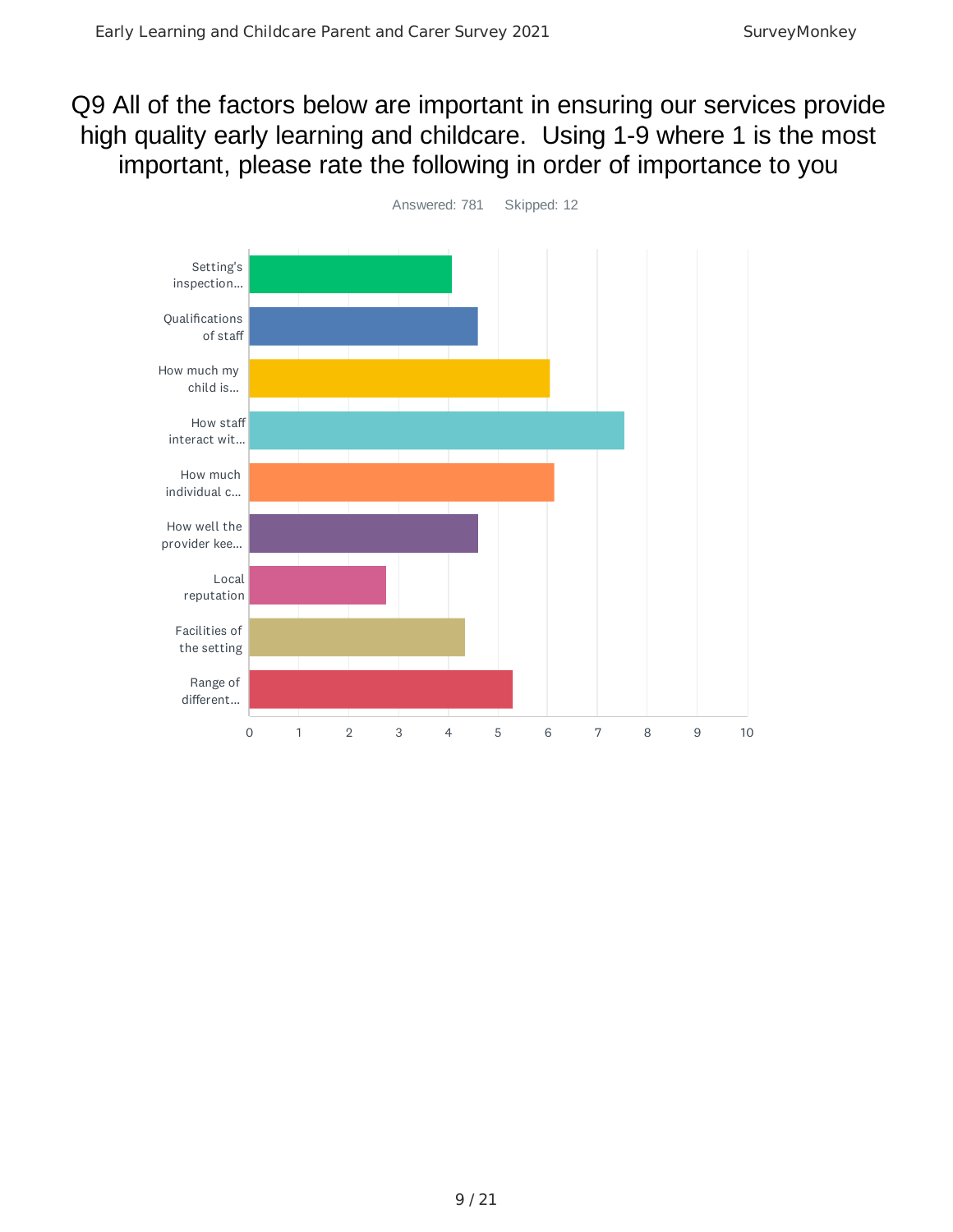# Q9 All of the factors below are important in ensuring our services provide high quality early learning and childcare. Using 1-9 where 1 is the most important, please rate the following in order of importance to you



9 / 21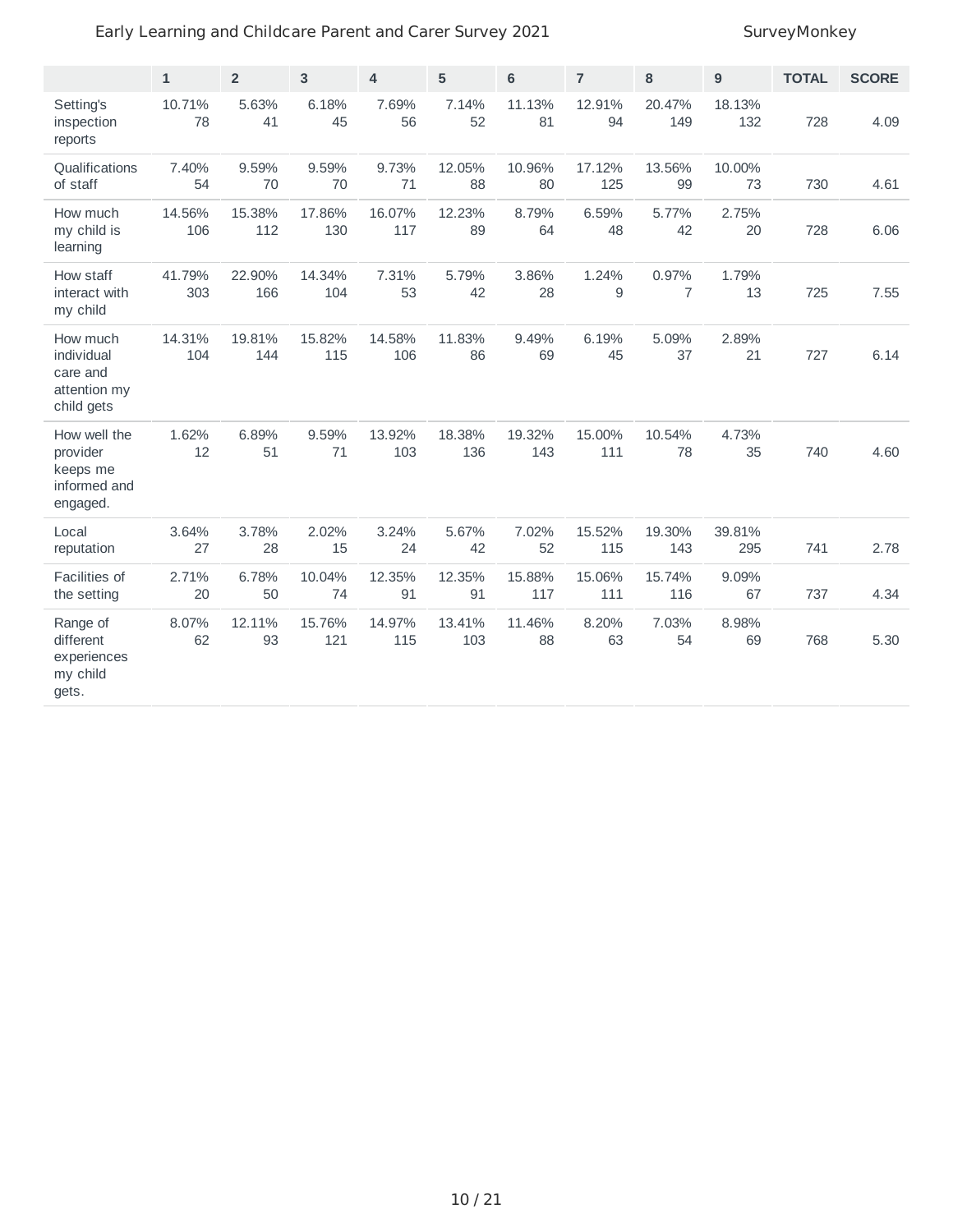#### Early Learning and Childcare Parent and Carer Survey 2021 SurveyMonkey

|                                                                  | $\mathbf{1}$  | $\overline{2}$ | 3             | $\overline{4}$ | 5             | 6             | $\overline{7}$ | 8                       | $\boldsymbol{9}$ | <b>TOTAL</b> | <b>SCORE</b> |
|------------------------------------------------------------------|---------------|----------------|---------------|----------------|---------------|---------------|----------------|-------------------------|------------------|--------------|--------------|
| Setting's<br>inspection<br>reports                               | 10.71%<br>78  | 5.63%<br>41    | 6.18%<br>45   | 7.69%<br>56    | 7.14%<br>52   | 11.13%<br>81  | 12.91%<br>94   | 20.47%<br>149           | 18.13%<br>132    | 728          | 4.09         |
| Qualifications<br>of staff                                       | 7.40%<br>54   | 9.59%<br>70    | 9.59%<br>70   | 9.73%<br>71    | 12.05%<br>88  | 10.96%<br>80  | 17.12%<br>125  | 13.56%<br>99            | 10.00%<br>73     | 730          | 4.61         |
| How much<br>my child is<br>learning                              | 14.56%<br>106 | 15.38%<br>112  | 17.86%<br>130 | 16.07%<br>117  | 12.23%<br>89  | 8.79%<br>64   | 6.59%<br>48    | 5.77%<br>42             | 2.75%<br>20      | 728          | 6.06         |
| How staff<br>interact with<br>my child                           | 41.79%<br>303 | 22.90%<br>166  | 14.34%<br>104 | 7.31%<br>53    | 5.79%<br>42   | 3.86%<br>28   | 1.24%<br>9     | 0.97%<br>$\overline{7}$ | 1.79%<br>13      | 725          | 7.55         |
| How much<br>individual<br>care and<br>attention my<br>child gets | 14.31%<br>104 | 19.81%<br>144  | 15.82%<br>115 | 14.58%<br>106  | 11.83%<br>86  | 9.49%<br>69   | 6.19%<br>45    | 5.09%<br>37             | 2.89%<br>21      | 727          | 6.14         |
| How well the<br>provider<br>keeps me<br>informed and<br>engaged. | 1.62%<br>12   | 6.89%<br>51    | 9.59%<br>71   | 13.92%<br>103  | 18.38%<br>136 | 19.32%<br>143 | 15.00%<br>111  | 10.54%<br>78            | 4.73%<br>35      | 740          | 4.60         |
| Local<br>reputation                                              | 3.64%<br>27   | 3.78%<br>28    | 2.02%<br>15   | 3.24%<br>24    | 5.67%<br>42   | 7.02%<br>52   | 15.52%<br>115  | 19.30%<br>143           | 39.81%<br>295    | 741          | 2.78         |
| Facilities of<br>the setting                                     | 2.71%<br>20   | 6.78%<br>50    | 10.04%<br>74  | 12.35%<br>91   | 12.35%<br>91  | 15.88%<br>117 | 15.06%<br>111  | 15.74%<br>116           | 9.09%<br>67      | 737          | 4.34         |
| Range of<br>different<br>experiences<br>my child<br>gets.        | 8.07%<br>62   | 12.11%<br>93   | 15.76%<br>121 | 14.97%<br>115  | 13.41%<br>103 | 11.46%<br>88  | 8.20%<br>63    | 7.03%<br>54             | 8.98%<br>69      | 768          | 5.30         |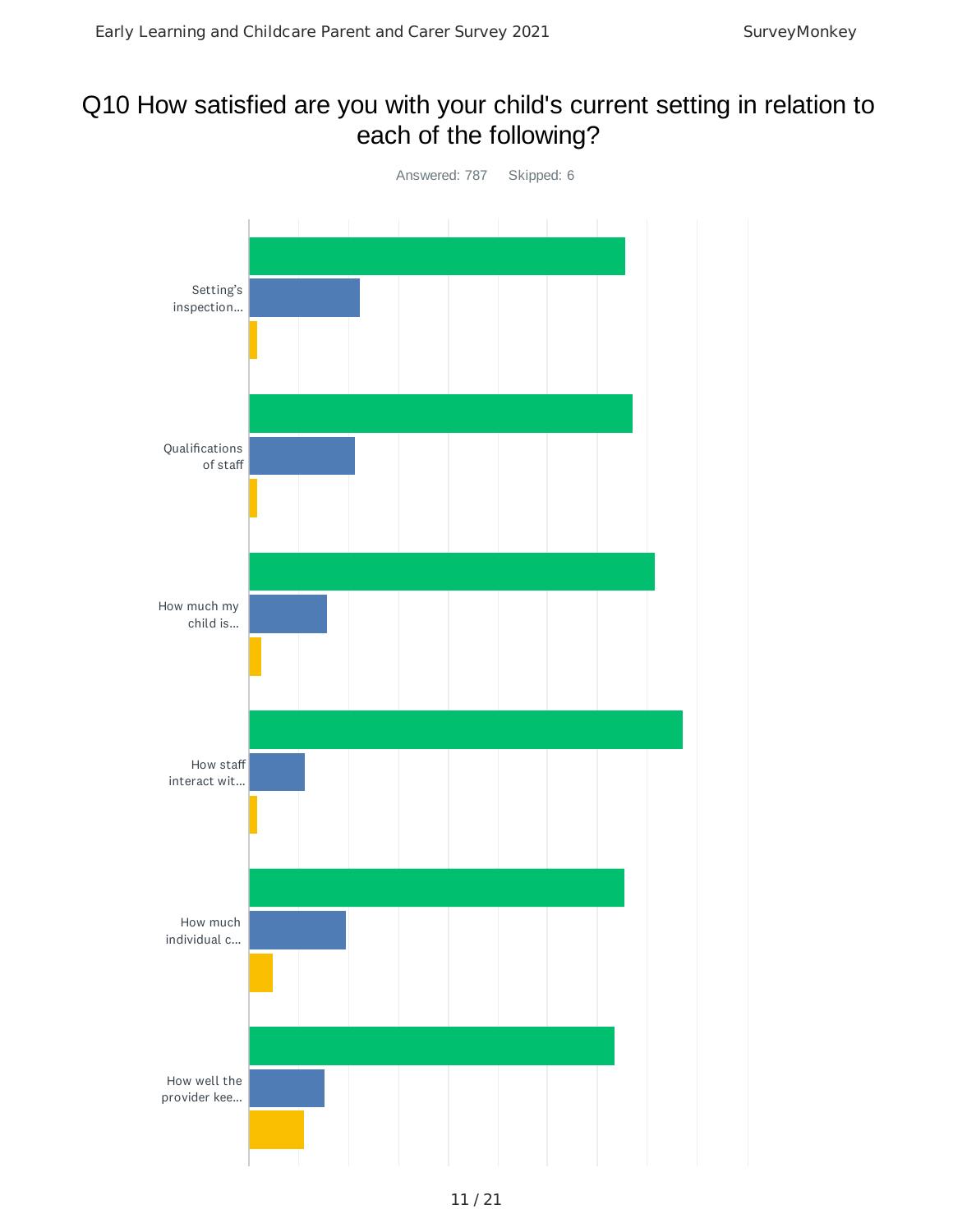# Q10 How satisfied are you with your child's current setting in relation to each of the following?

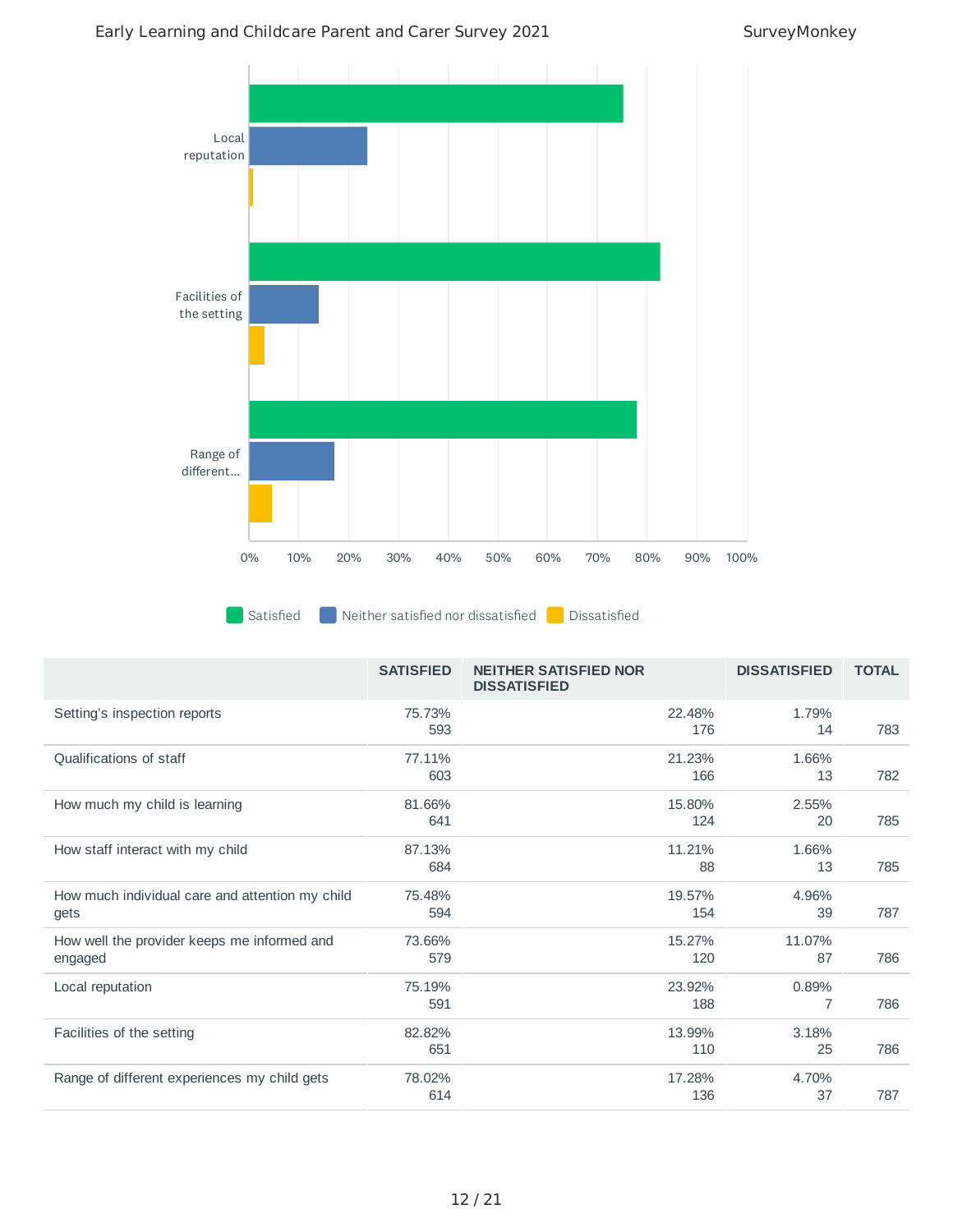#### Early Learning and Childcare Parent and Carer Survey 2021 SurveyMonkey



|                                                         | <b>SATISFIED</b> | <b>NEITHER SATISFIED NOR</b><br><b>DISSATISFIED</b> | <b>DISSATISFIED</b> | <b>TOTAL</b> |
|---------------------------------------------------------|------------------|-----------------------------------------------------|---------------------|--------------|
| Setting's inspection reports                            | 75.73%<br>593    | 22.48%<br>176                                       | 1.79%<br>14         | 783          |
| Qualifications of staff                                 | 77.11%<br>603    | 21.23%<br>166                                       | 1.66%<br>13         | 782          |
| How much my child is learning                           | 81.66%<br>641    | 15.80%<br>124                                       | 2.55%<br>20         | 785          |
| How staff interact with my child                        | 87.13%<br>684    | 11.21%<br>88                                        | 1.66%<br>13         | 785          |
| How much individual care and attention my child<br>gets | 75.48%<br>594    | 19.57%<br>154                                       | 4.96%<br>39         | 787          |
| How well the provider keeps me informed and<br>engaged  | 73.66%<br>579    | 15.27%<br>120                                       | 11.07%<br>87        | 786          |
| Local reputation                                        | 75.19%<br>591    | 23.92%<br>188                                       | 0.89%<br>7          | 786          |
| Facilities of the setting                               | 82.82%<br>651    | 13.99%<br>110                                       | 3.18%<br>25         | 786          |
| Range of different experiences my child gets            | 78.02%<br>614    | 17.28%<br>136                                       | 4.70%<br>37         | 787          |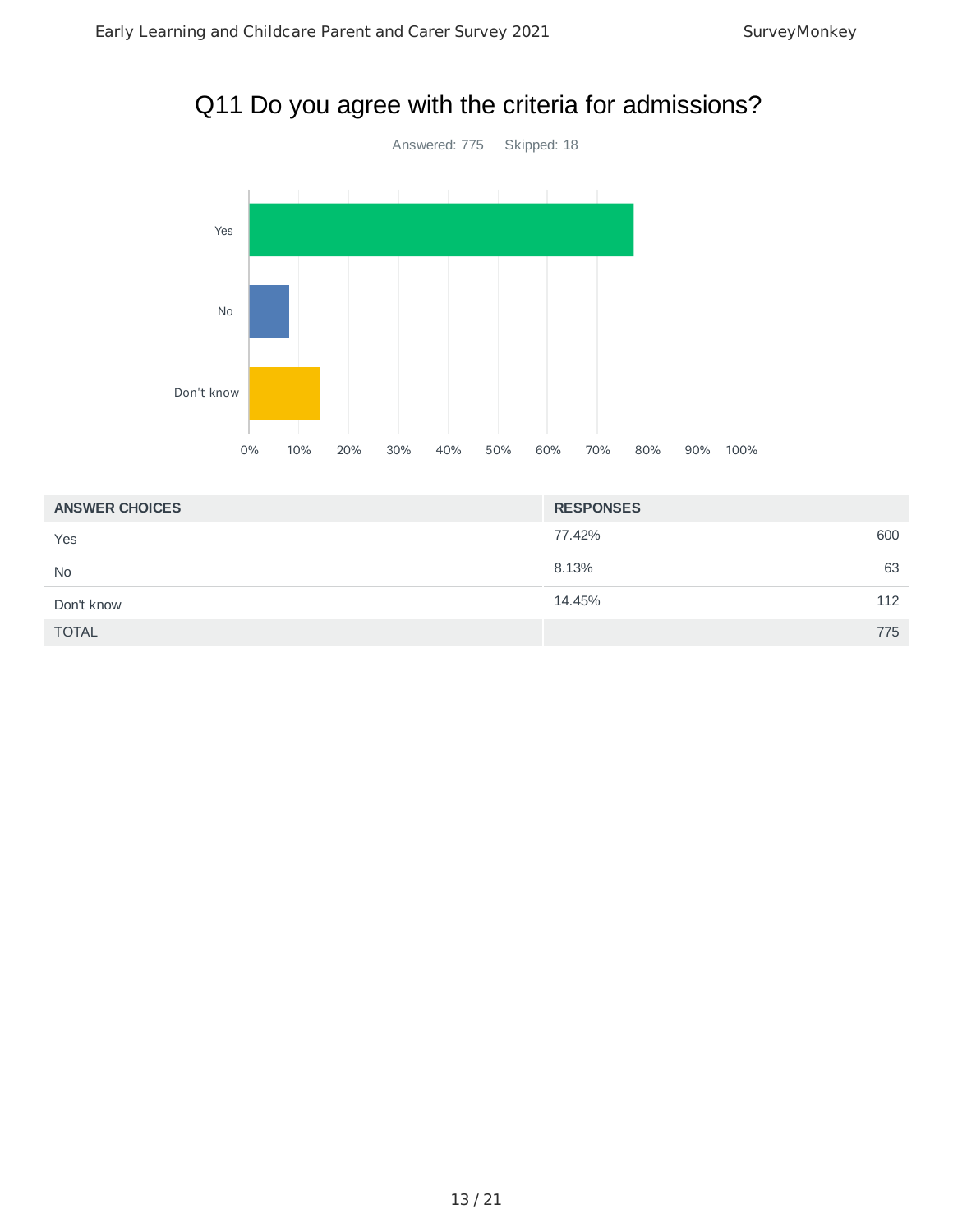# Q11 Do you agree with the criteria for admissions?



| <b>ANSWER CHOICES</b> | <b>RESPONSES</b> |
|-----------------------|------------------|
| Yes                   | 600<br>77.42%    |
| <b>No</b>             | 63<br>8.13%      |
| Don't know            | 112<br>14.45%    |
| <b>TOTAL</b>          | 775              |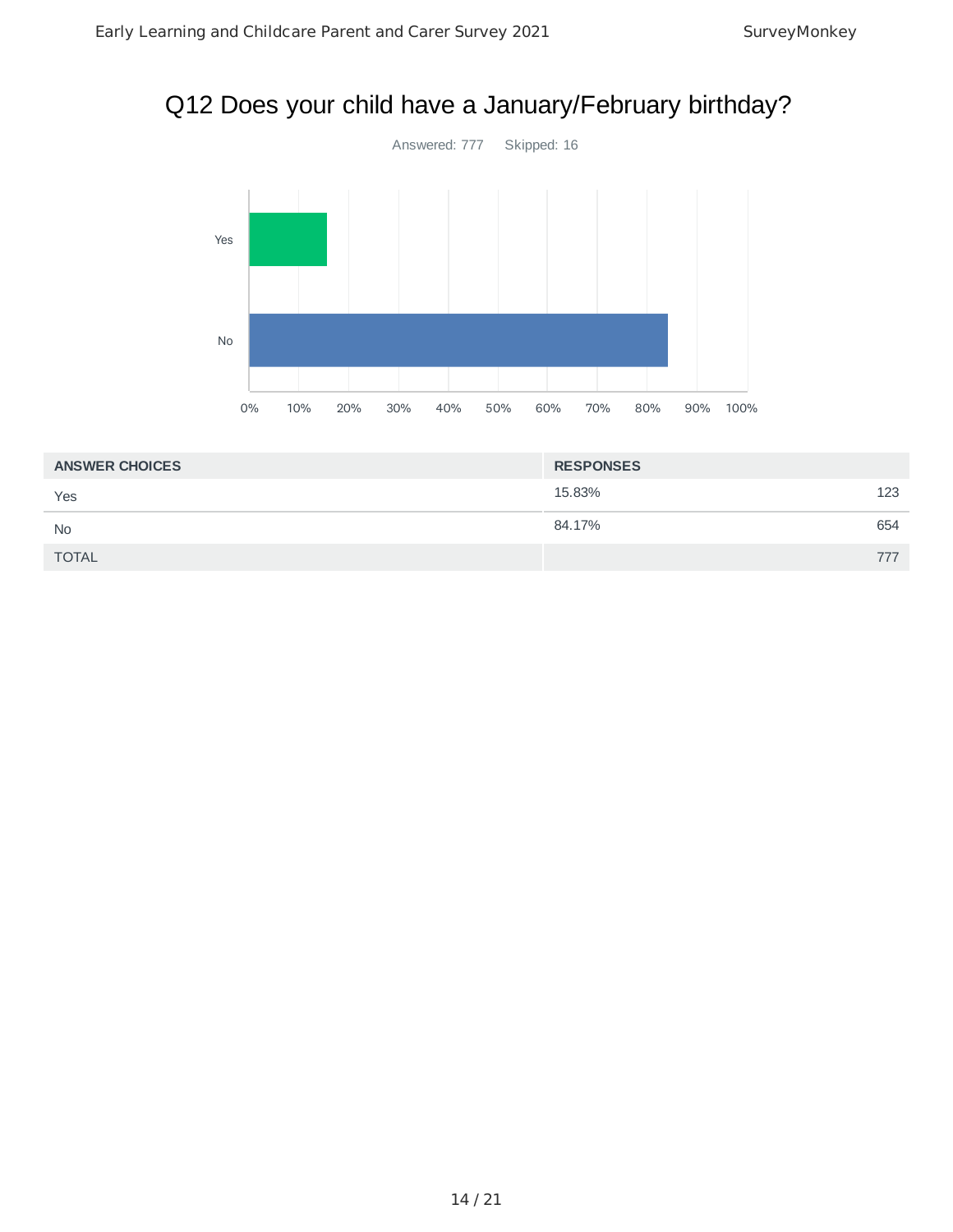# Q12 Does your child have a January/February birthday?



| <b>ANSWER CHOICES</b> | <b>RESPONSES</b> |     |
|-----------------------|------------------|-----|
| Yes                   | 15.83%           | 123 |
| <b>No</b>             | 84.17%           | 654 |
| <b>TOTAL</b>          |                  | 777 |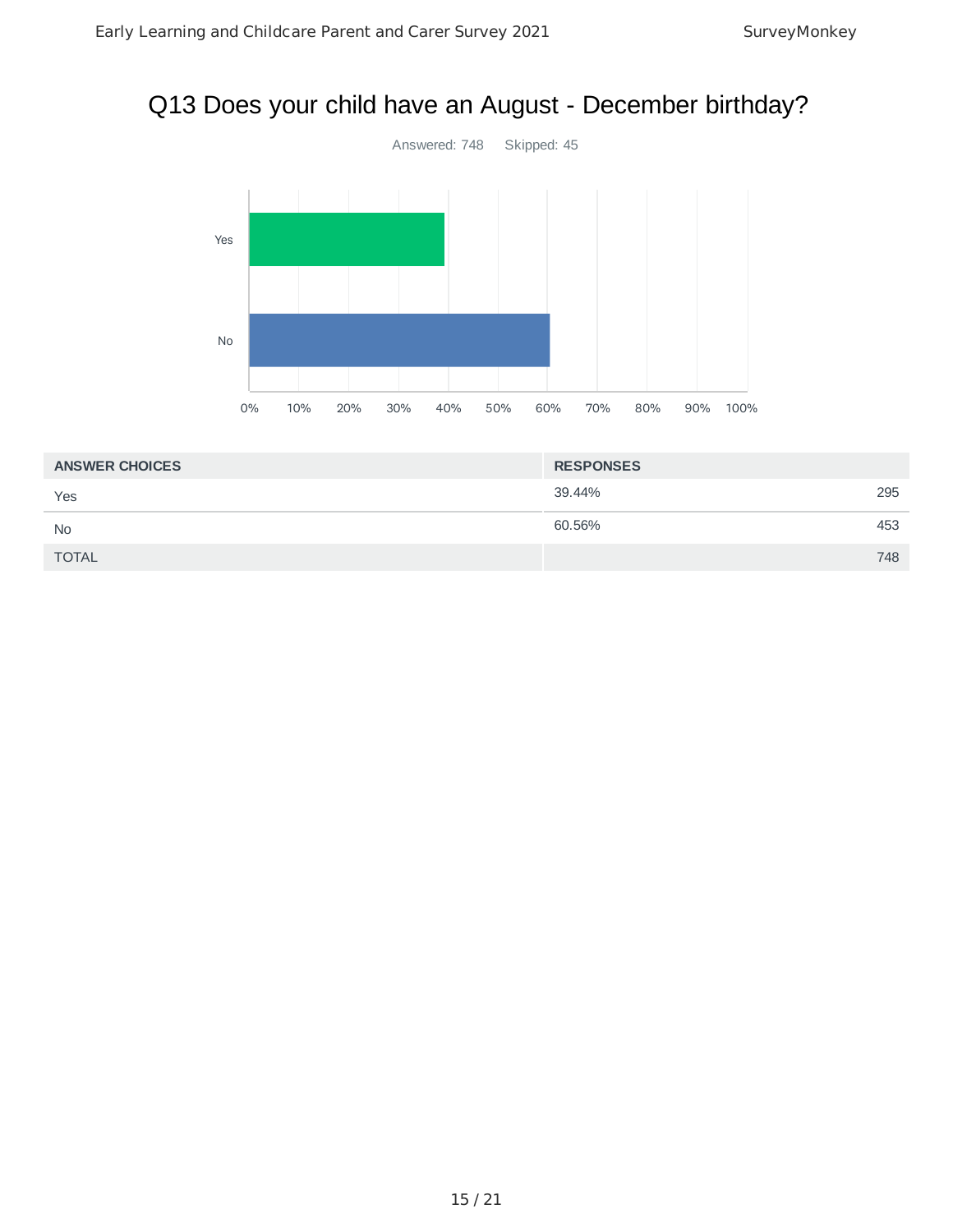# Q13 Does your child have an August - December birthday?



| <b>ANSWER CHOICES</b> | <b>RESPONSES</b> |  |
|-----------------------|------------------|--|
| Yes                   | 39.44%<br>295    |  |
| <b>No</b>             | 60.56%<br>453    |  |
| <b>TOTAL</b>          | 748              |  |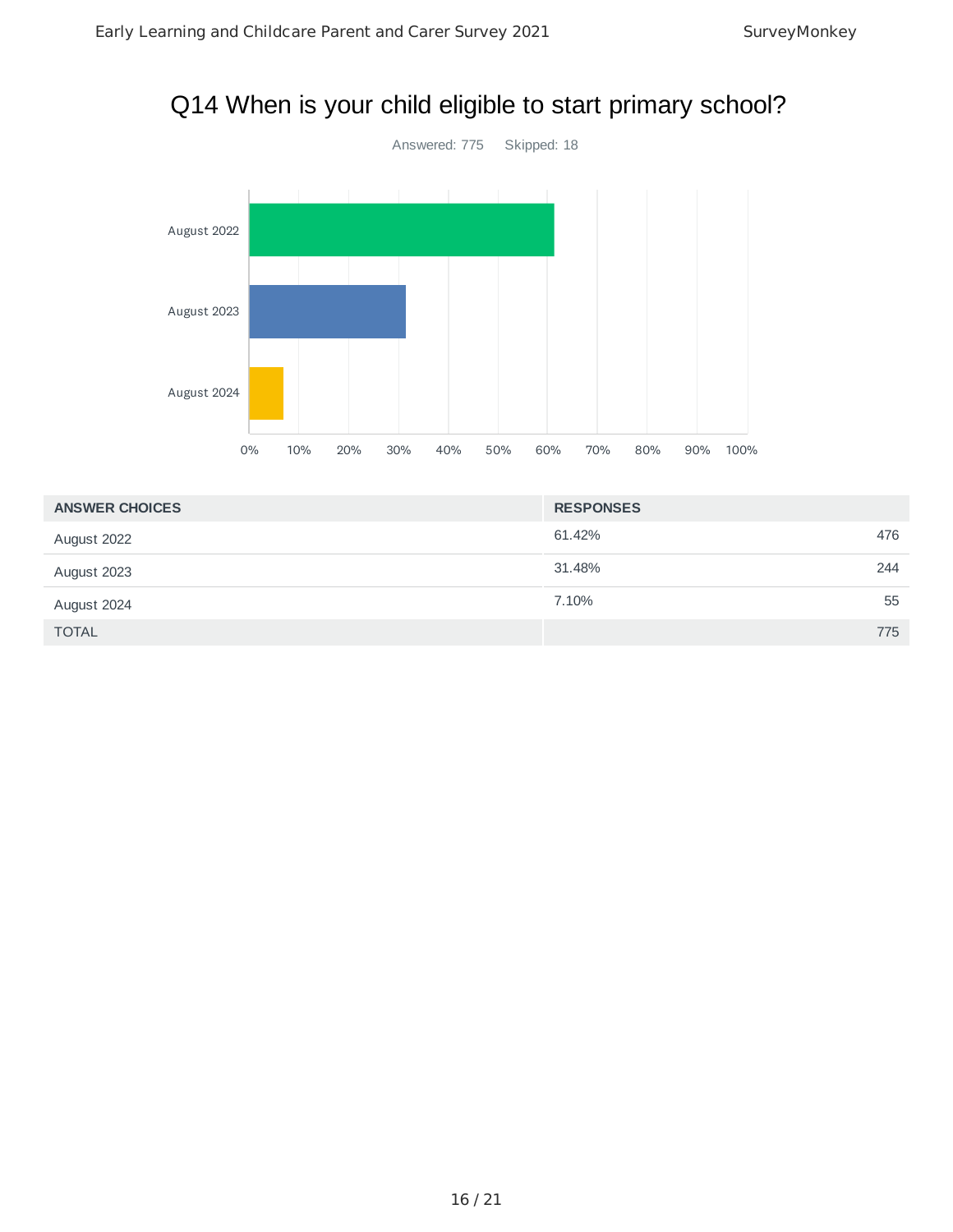# Q14 When is your child eligible to start primary school?



| <b>ANSWER CHOICES</b> | <b>RESPONSES</b> |     |
|-----------------------|------------------|-----|
| August 2022           | 61.42%           | 476 |
| August 2023           | 31.48%           | 244 |
| August 2024           | 7.10%            | 55  |
| <b>TOTAL</b>          |                  | 775 |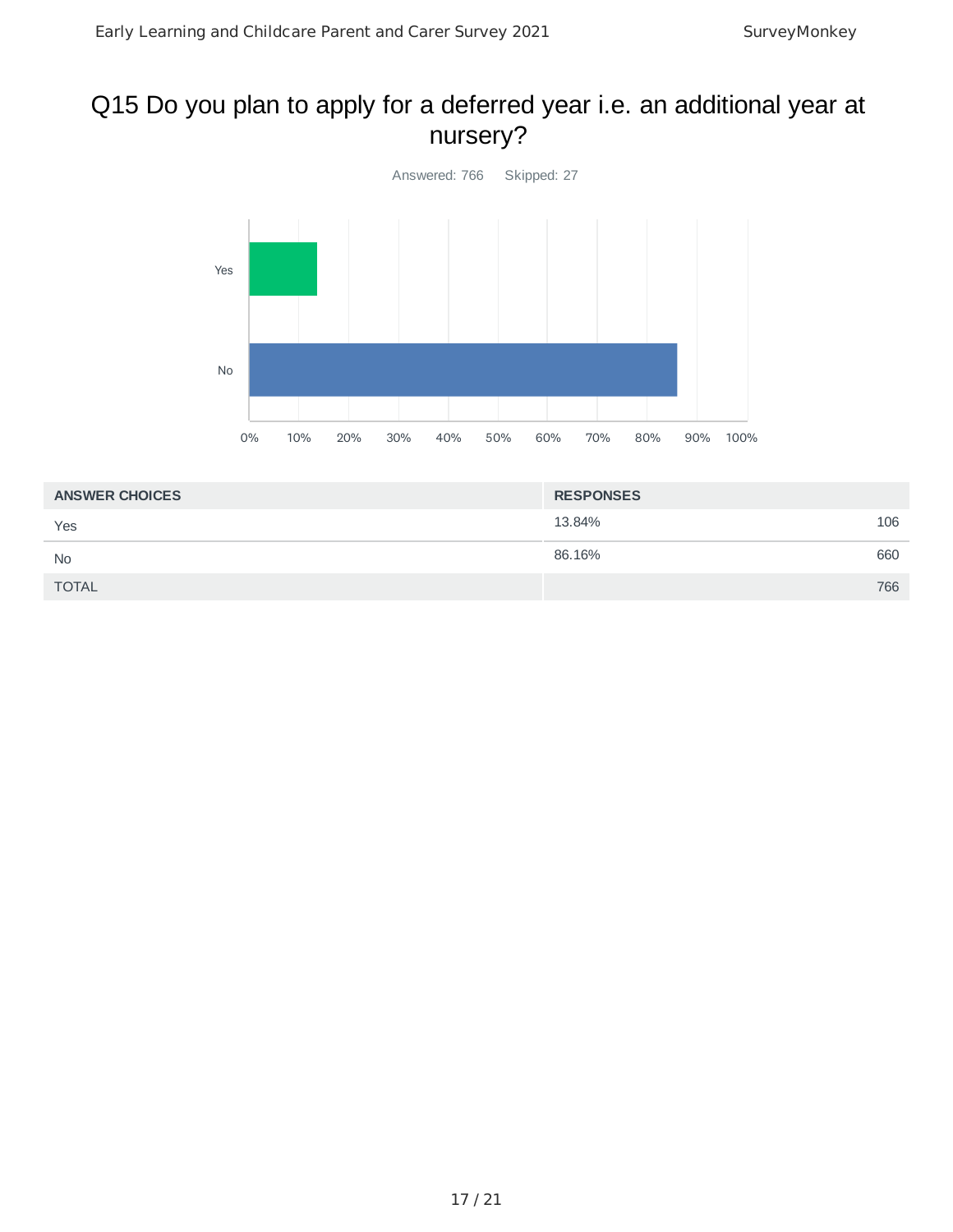# Q15 Do you plan to apply for a deferred year i.e. an additional year at nursery?



| <b>ANSWER CHOICES</b> | <b>RESPONSES</b> |     |
|-----------------------|------------------|-----|
| Yes                   | 13.84%           | 106 |
| <b>No</b>             | 86.16%           | 660 |
| <b>TOTAL</b>          |                  | 766 |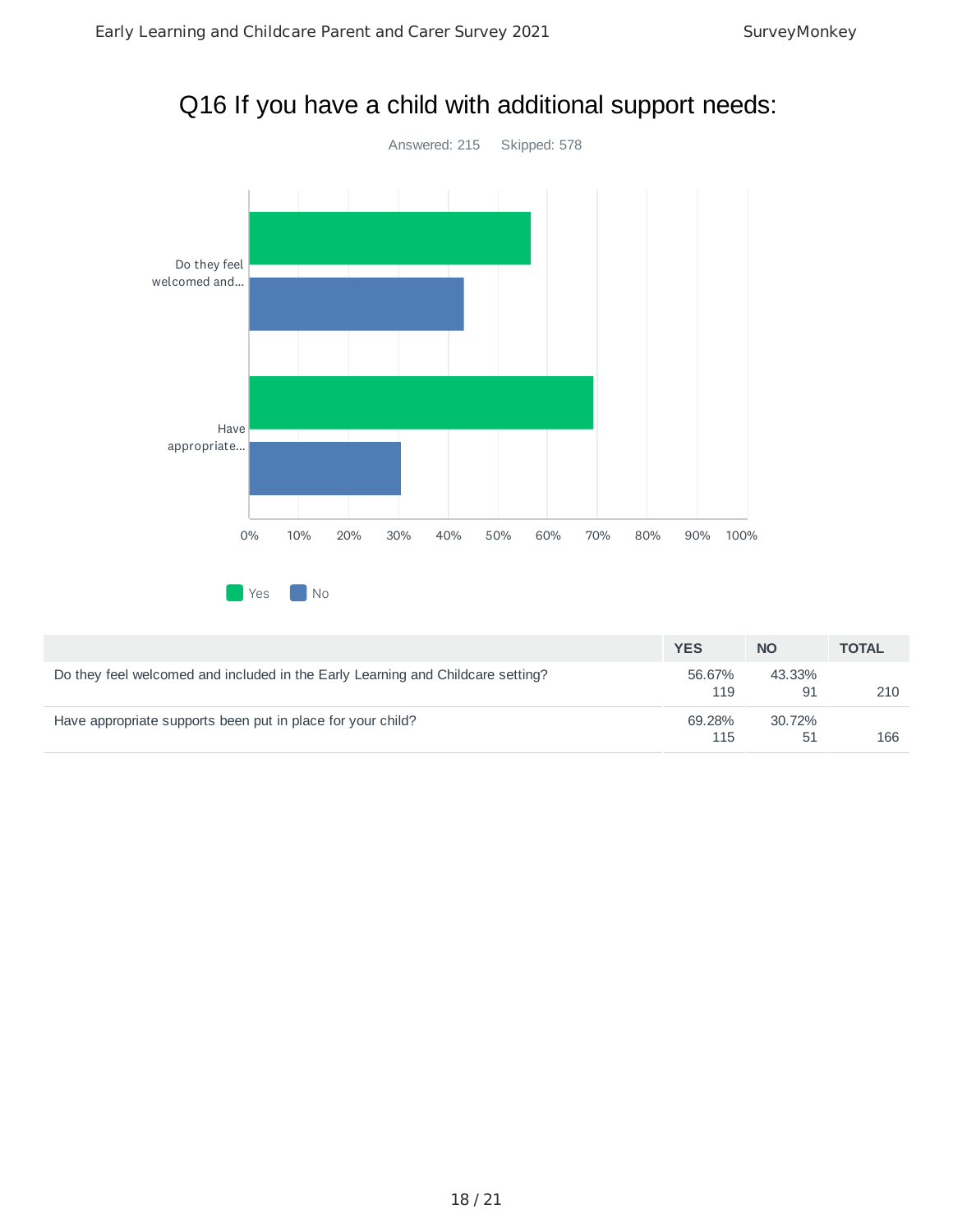



|                                                                                 | <b>YES</b>    | <b>NO</b>    | <b>TOTAL</b> |
|---------------------------------------------------------------------------------|---------------|--------------|--------------|
| Do they feel welcomed and included in the Early Learning and Childcare setting? | 56.67%<br>119 | 43.33%<br>91 | 210          |
| Have appropriate supports been put in place for your child?                     | 69.28%<br>115 | 30.72%<br>51 | 166          |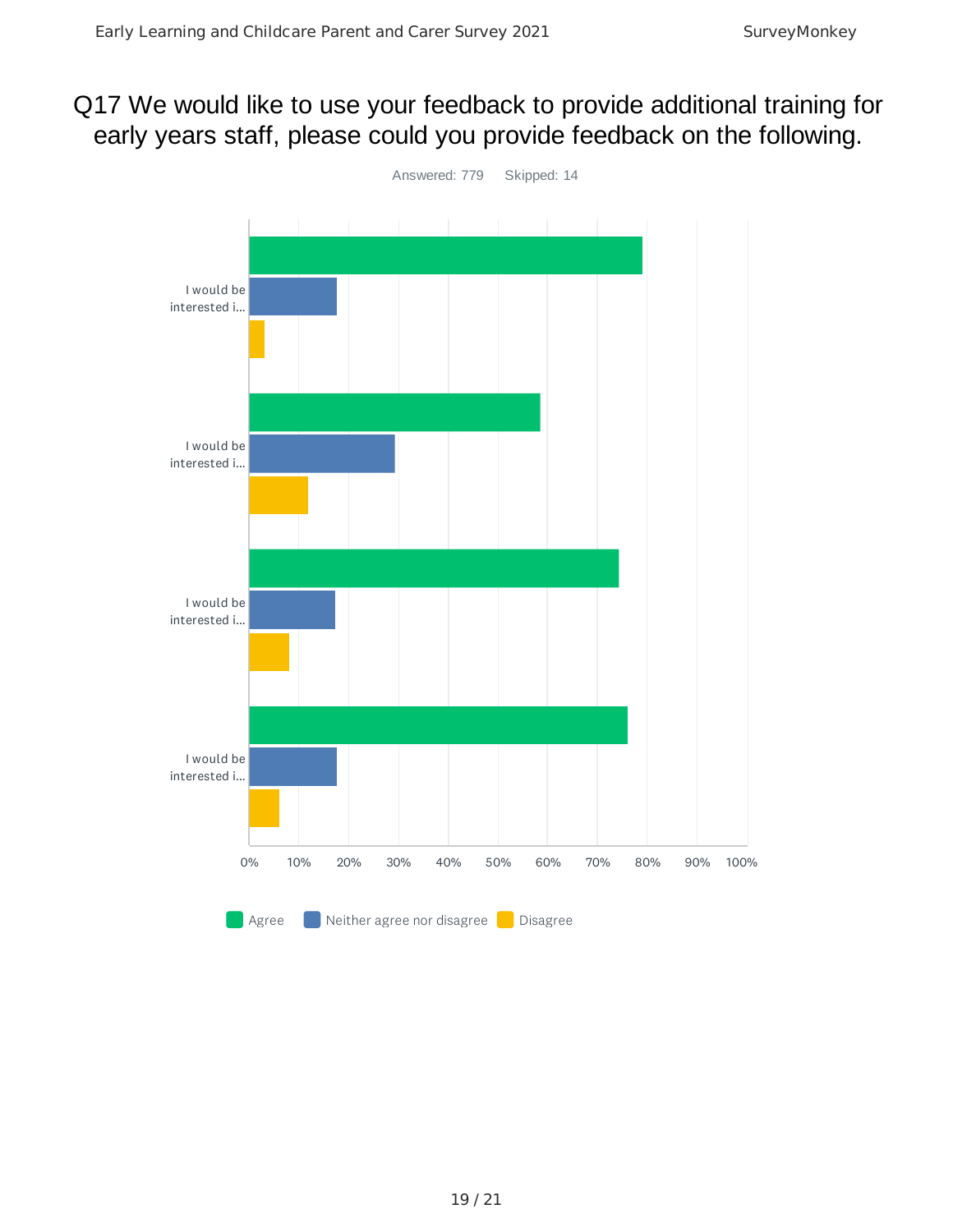# Q17 We would like to use your feedback to provide additional training for early years staff, please could you provide feedback on the following.

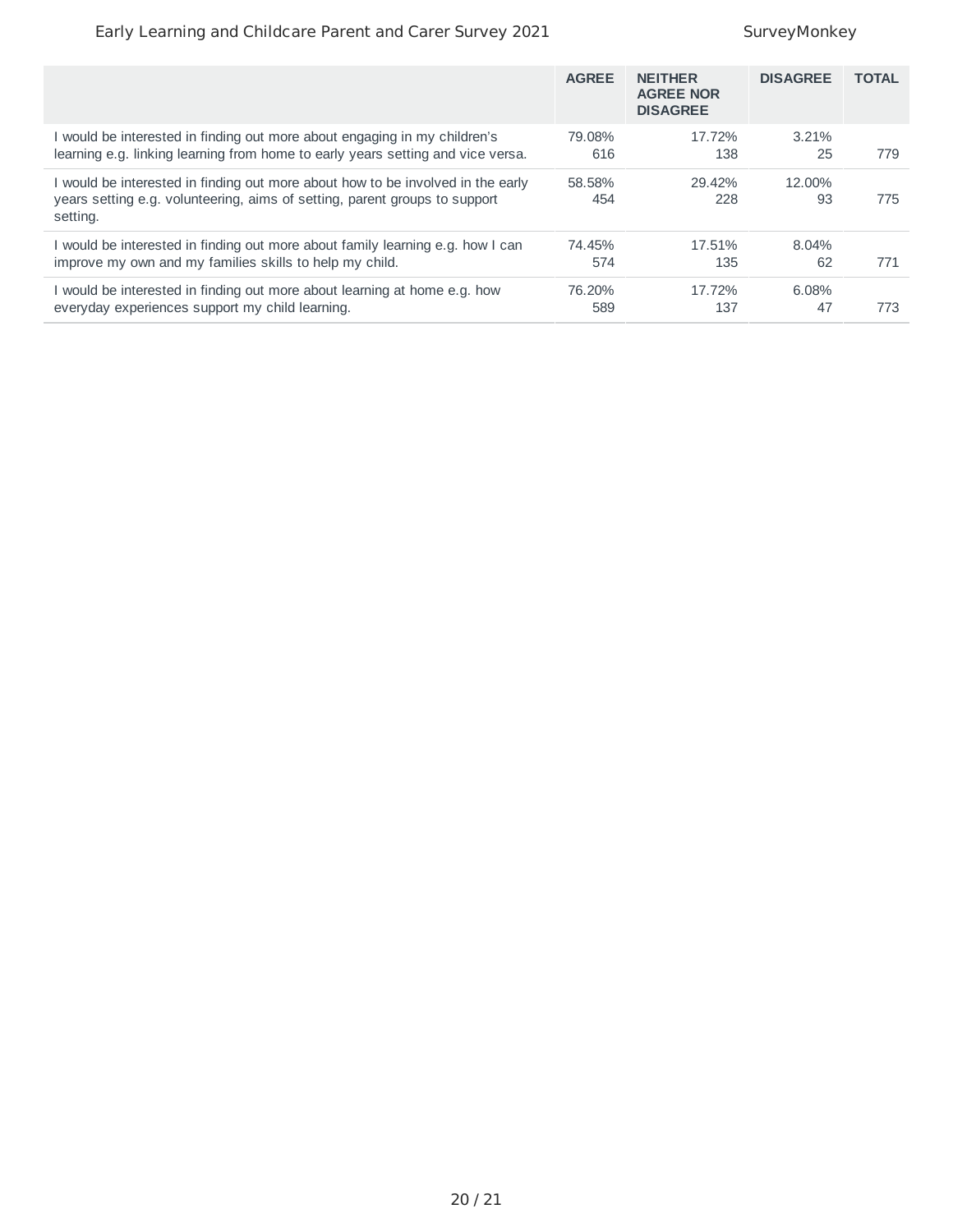#### Early Learning and Childcare Parent and Carer Survey 2021 SurveyMonkey

|                                                                                                                                                                           | <b>AGREE</b>  | <b>NEITHER</b><br><b>AGREE NOR</b><br><b>DISAGREE</b> | <b>DISAGREE</b> | <b>TOTAL</b> |
|---------------------------------------------------------------------------------------------------------------------------------------------------------------------------|---------------|-------------------------------------------------------|-----------------|--------------|
| I would be interested in finding out more about engaging in my children's                                                                                                 | 79.08%        | 17.72%                                                | 3.21%           | 779          |
| learning e.g. linking learning from home to early years setting and vice versa.                                                                                           | 616           | 138                                                   | 25              |              |
| I would be interested in finding out more about how to be involved in the early<br>years setting e.g. volunteering, aims of setting, parent groups to support<br>setting. | 58.58%<br>454 | 29.42%<br>228                                         | 12.00%<br>93    | 775          |
| I would be interested in finding out more about family learning e.g. how I can                                                                                            | 74.45%        | 17.51%                                                | 8.04%           | 771          |
| improve my own and my families skills to help my child.                                                                                                                   | 574           | 135                                                   | 62              |              |
| I would be interested in finding out more about learning at home e.g. how                                                                                                 | 76.20%        | 17.72%                                                | 6.08%           | 773          |
| everyday experiences support my child learning.                                                                                                                           | 589           | 137                                                   | 47              |              |